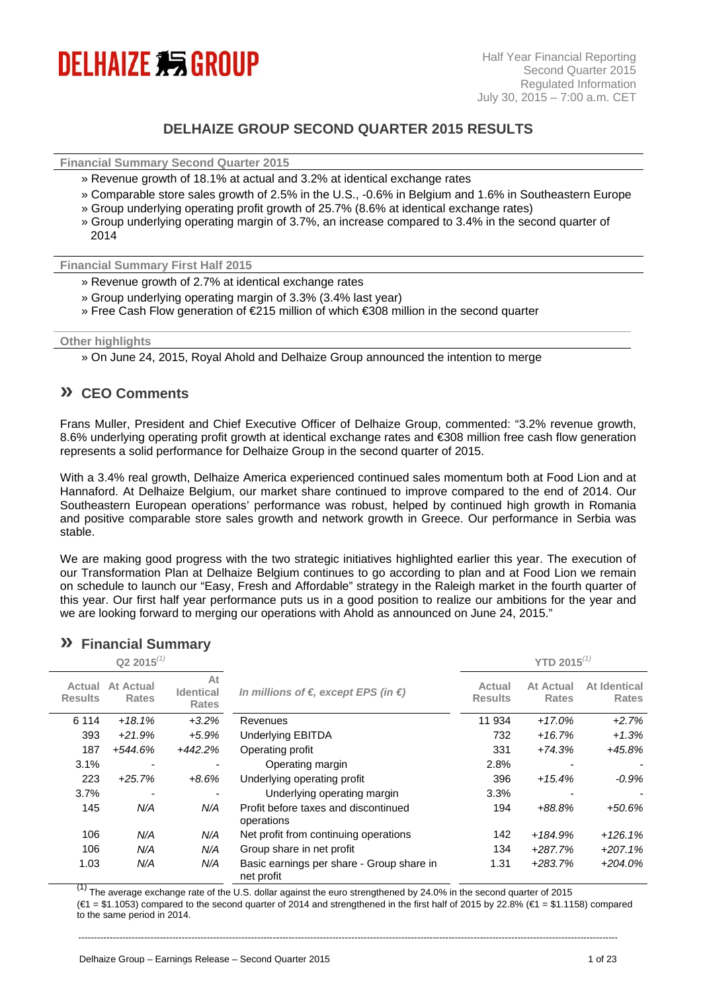

## **DELHAIZE GROUP SECOND QUARTER 2015 RESULTS**

**Financial Summary Second Quarter 2015** 

- » Revenue growth of 18.1% at actual and 3.2% at identical exchange rates
- » Comparable store sales growth of 2.5% in the U.S., -0.6% in Belgium and 1.6% in Southeastern Europe » Group underlying operating profit growth of 25.7% (8.6% at identical exchange rates)
- 
- » Group underlying operating margin of 3.7%, an increase compared to 3.4% in the second quarter of  $2014$

**Financial Summary First Half 2015** 

- » Revenue growth of 2.7% at identical exchange rates
- » Group underlying operating margin of 3.3% (3.4% last year)
- » Free Cash Flow generation of €215 million of which €308 million in the second quarter

#### **Other highlights**

» On June 24, 2015, Royal Ahold and Delhaize Group announced the intention to merge

### **» CEO Comments**

Frans Muller, President and Chief Executive Officer of Delhaize Group, commented: "3.2% revenue growth, 8.6% underlying operating profit growth at identical exchange rates and €308 million free cash flow generation represents a solid performance for Delhaize Group in the second quarter of 2015.

With a 3.4% real growth, Delhaize America experienced continued sales momentum both at Food Lion and at Hannaford. At Delhaize Belgium, our market share continued to improve compared to the end of 2014. Our Southeastern European operations' performance was robust, helped by continued high growth in Romania and positive comparable store sales growth and network growth in Greece. Our performance in Serbia was stable.

We are making good progress with the two strategic initiatives highlighted earlier this year. The execution of our Transformation Plan at Delhaize Belgium continues to go according to plan and at Food Lion we remain on schedule to launch our "Easy, Fresh and Affordable" strategy in the Raleigh market in the fourth quarter of this year. Our first half year performance puts us in a good position to realize our ambitions for the year and we are looking forward to merging our operations with Ahold as announced on June 24, 2015."

|                          | Q2 2015 $^{(1)}$          |                                        |                                                         |                          | <b>YTD 2015</b> $^{(1)}$         |                              |
|--------------------------|---------------------------|----------------------------------------|---------------------------------------------------------|--------------------------|----------------------------------|------------------------------|
| Actual<br><b>Results</b> | At Actual<br><b>Rates</b> | At<br><b>Identical</b><br><b>Rates</b> | In millions of $\epsilon$ , except EPS (in $\epsilon$ ) | Actual<br><b>Results</b> | <b>At Actual</b><br><b>Rates</b> | At Identical<br><b>Rates</b> |
| 6 1 1 4                  | $+18.1%$                  | $+3.2%$                                | Revenues                                                | 11 934                   | $+17.0%$                         | $+2.7%$                      |
| 393                      | $+21.9%$                  | $+5.9%$                                | <b>Underlying EBITDA</b>                                | 732                      | +16.7%                           | $+1.3%$                      |
| 187                      | +544.6%                   | $+442.2%$                              | Operating profit                                        | 331                      | +74.3%                           | $+45.8%$                     |
| 3.1%                     | $\overline{a}$            |                                        | Operating margin                                        | 2.8%                     |                                  |                              |
| 223                      | $+25.7%$                  | $+8.6%$                                | Underlying operating profit                             | 396                      | $+15.4%$                         | $-0.9%$                      |
| 3.7%                     |                           |                                        | Underlying operating margin                             | 3.3%                     |                                  |                              |
| 145                      | N/A                       | N/A                                    | Profit before taxes and discontinued<br>operations      | 194                      | $+88.8%$                         | $+50.6%$                     |
| 106                      | N/A                       | N/A                                    | Net profit from continuing operations                   | 142                      | +184.9%                          | $+126.1%$                    |
| 106                      | N/A                       | N/A                                    | Group share in net profit                               | 134                      | $+287.7%$                        | $+207.1%$                    |
| 1.03                     | N/A                       | N/A                                    | Basic earnings per share - Group share in<br>net profit | 1.31                     | $+283.7%$                        | $+204.0\%$                   |

# **» Financial Summary**

 $(1)$  The average exchange rate of the U.S. dollar against the euro strengthened by 24.0% in the second quarter of 2015  $(€1 = $1.1053)$  compared to the second quarter of 2014 and strengthened in the first half of 2015 by 22.8% (€1 = \$1.1158) compared to the same period in 2014.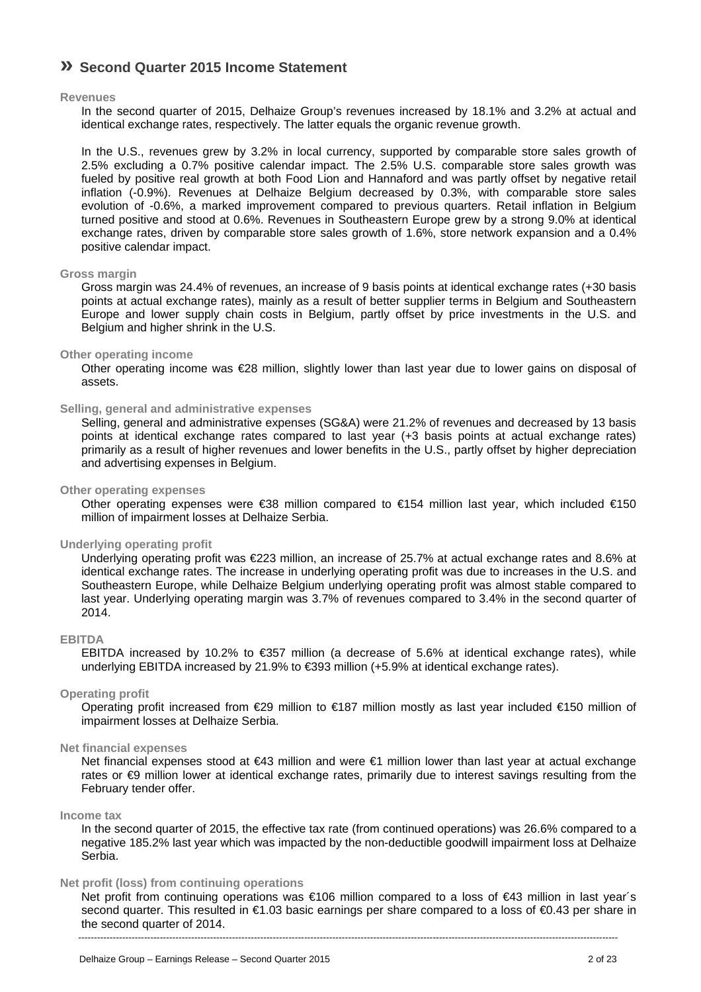# **» Second Quarter 2015 Income Statement**

#### **Revenues**

In the second quarter of 2015, Delhaize Group's revenues increased by 18.1% and 3.2% at actual and identical exchange rates, respectively. The latter equals the organic revenue growth.

In the U.S., revenues grew by 3.2% in local currency, supported by comparable store sales growth of 2.5% excluding a 0.7% positive calendar impact. The 2.5% U.S. comparable store sales growth was fueled by positive real growth at both Food Lion and Hannaford and was partly offset by negative retail inflation (-0.9%). Revenues at Delhaize Belgium decreased by 0.3%, with comparable store sales evolution of -0.6%, a marked improvement compared to previous quarters. Retail inflation in Belgium turned positive and stood at 0.6%. Revenues in Southeastern Europe grew by a strong 9.0% at identical exchange rates, driven by comparable store sales growth of 1.6%, store network expansion and a 0.4% positive calendar impact.

#### **Gross margin**

Gross margin was 24.4% of revenues, an increase of 9 basis points at identical exchange rates (+30 basis points at actual exchange rates), mainly as a result of better supplier terms in Belgium and Southeastern Europe and lower supply chain costs in Belgium, partly offset by price investments in the U.S. and Belgium and higher shrink in the U.S.

#### **Other operating income**

Other operating income was €28 million, slightly lower than last year due to lower gains on disposal of assets.

#### **Selling, general and administrative expenses**

Selling, general and administrative expenses (SG&A) were 21.2% of revenues and decreased by 13 basis points at identical exchange rates compared to last year (+3 basis points at actual exchange rates) primarily as a result of higher revenues and lower benefits in the U.S., partly offset by higher depreciation and advertising expenses in Belgium.

#### **Other operating expenses**

Other operating expenses were €38 million compared to €154 million last year, which included €150 million of impairment losses at Delhaize Serbia.

#### **Underlying operating profit**

Underlying operating profit was €223 million, an increase of 25.7% at actual exchange rates and 8.6% at identical exchange rates. The increase in underlying operating profit was due to increases in the U.S. and Southeastern Europe, while Delhaize Belgium underlying operating profit was almost stable compared to last year. Underlying operating margin was 3.7% of revenues compared to 3.4% in the second quarter of 2014.

### **EBITDA**

EBITDA increased by 10.2% to €357 million (a decrease of 5.6% at identical exchange rates), while underlying EBITDA increased by 21.9% to €393 million (+5.9% at identical exchange rates).

#### **Operating profit**

Operating profit increased from €29 million to €187 million mostly as last year included €150 million of impairment losses at Delhaize Serbia.

#### **Net financial expenses**

Net financial expenses stood at €43 million and were €1 million lower than last year at actual exchange rates or  $€9$  million lower at identical exchange rates, primarily due to interest savings resulting from the February tender offer.

#### **Income tax**

In the second quarter of 2015, the effective tax rate (from continued operations) was 26.6% compared to a negative 185.2% last year which was impacted by the non-deductible goodwill impairment loss at Delhaize Serbia.

#### **Net profit (loss) from continuing operations**

Net profit from continuing operations was €106 million compared to a loss of €43 million in last year's second quarter. This resulted in €1.03 basic earnings per share compared to a loss of €0.43 per share in the second quarter of 2014.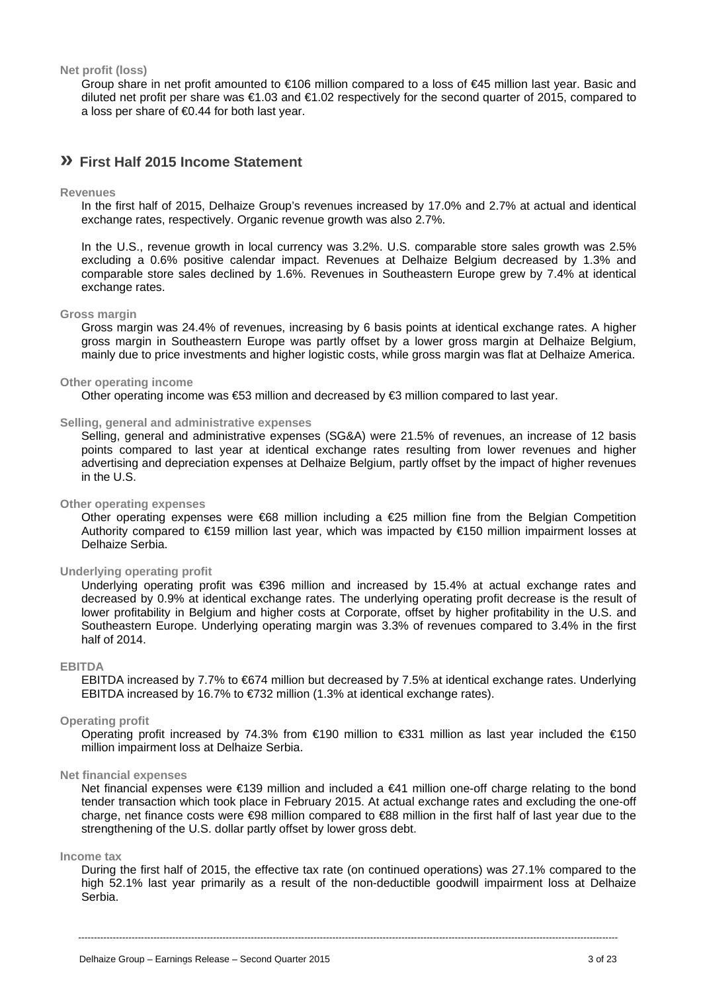**Net profit (loss)** 

Group share in net profit amounted to €106 million compared to a loss of €45 million last year. Basic and diluted net profit per share was €1.03 and €1.02 respectively for the second quarter of 2015, compared to a loss per share of €0.44 for both last year.

### **» First Half 2015 Income Statement**

#### **Revenues**

In the first half of 2015, Delhaize Group's revenues increased by 17.0% and 2.7% at actual and identical exchange rates, respectively. Organic revenue growth was also 2.7%.

In the U.S., revenue growth in local currency was 3.2%. U.S. comparable store sales growth was 2.5% excluding a 0.6% positive calendar impact. Revenues at Delhaize Belgium decreased by 1.3% and comparable store sales declined by 1.6%. Revenues in Southeastern Europe grew by 7.4% at identical exchange rates.

#### **Gross margin**

Gross margin was 24.4% of revenues, increasing by 6 basis points at identical exchange rates. A higher gross margin in Southeastern Europe was partly offset by a lower gross margin at Delhaize Belgium, mainly due to price investments and higher logistic costs, while gross margin was flat at Delhaize America.

#### **Other operating income**

Other operating income was €53 million and decreased by €3 million compared to last year.

#### **Selling, general and administrative expenses**

Selling, general and administrative expenses (SG&A) were 21.5% of revenues, an increase of 12 basis points compared to last year at identical exchange rates resulting from lower revenues and higher advertising and depreciation expenses at Delhaize Belgium, partly offset by the impact of higher revenues in the U.S.

#### **Other operating expenses**

Other operating expenses were €68 million including a €25 million fine from the Belgian Competition Authority compared to €159 million last year, which was impacted by €150 million impairment losses at Delhaize Serbia.

#### **Underlying operating profit**

Underlying operating profit was €396 million and increased by 15.4% at actual exchange rates and decreased by 0.9% at identical exchange rates. The underlying operating profit decrease is the result of lower profitability in Belgium and higher costs at Corporate, offset by higher profitability in the U.S. and Southeastern Europe. Underlying operating margin was 3.3% of revenues compared to 3.4% in the first half of 2014.

#### **EBITDA**

EBITDA increased by 7.7% to €674 million but decreased by 7.5% at identical exchange rates. Underlying EBITDA increased by 16.7% to  $\epsilon$ 732 million (1.3% at identical exchange rates).

#### **Operating profit**

Operating profit increased by 74.3% from €190 million to €331 million as last year included the €150 million impairment loss at Delhaize Serbia.

#### **Net financial expenses**

Net financial expenses were €139 million and included a €41 million one-off charge relating to the bond tender transaction which took place in February 2015. At actual exchange rates and excluding the one-off charge, net finance costs were €98 million compared to €88 million in the first half of last year due to the strengthening of the U.S. dollar partly offset by lower gross debt.

#### **Income tax**

During the first half of 2015, the effective tax rate (on continued operations) was 27.1% compared to the high 52.1% last year primarily as a result of the non-deductible goodwill impairment loss at Delhaize Serbia.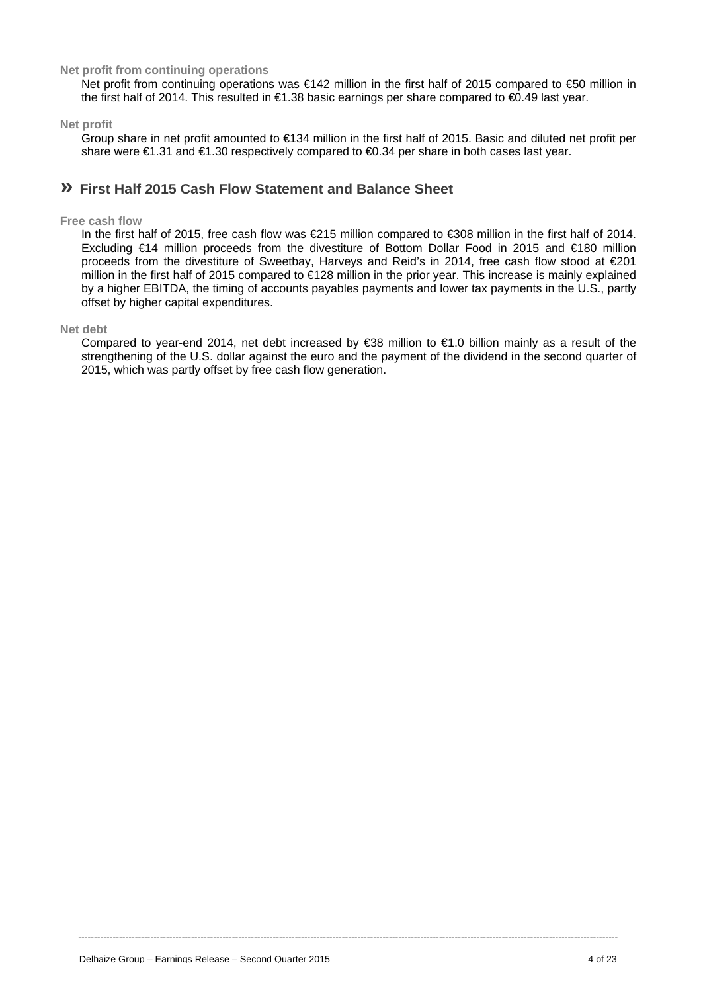#### **Net profit from continuing operations**

Net profit from continuing operations was €142 million in the first half of 2015 compared to €50 million in the first half of 2014. This resulted in €1.38 basic earnings per share compared to €0.49 last year.

#### **Net profit**

Group share in net profit amounted to €134 million in the first half of 2015. Basic and diluted net profit per share were €1.31 and €1.30 respectively compared to €0.34 per share in both cases last year.

### **» First Half 2015 Cash Flow Statement and Balance Sheet**

#### **Free cash flow**

In the first half of 2015, free cash flow was €215 million compared to €308 million in the first half of 2014. Excluding €14 million proceeds from the divestiture of Bottom Dollar Food in 2015 and €180 million proceeds from the divestiture of Sweetbay, Harveys and Reid's in 2014, free cash flow stood at  $\epsilon$ 201 million in the first half of 2015 compared to €128 million in the prior year. This increase is mainly explained by a higher EBITDA, the timing of accounts payables payments and lower tax payments in the U.S., partly offset by higher capital expenditures.

#### **Net debt**

Compared to year-end 2014, net debt increased by €38 million to €1.0 billion mainly as a result of the strengthening of the U.S. dollar against the euro and the payment of the dividend in the second quarter of 2015, which was partly offset by free cash flow generation.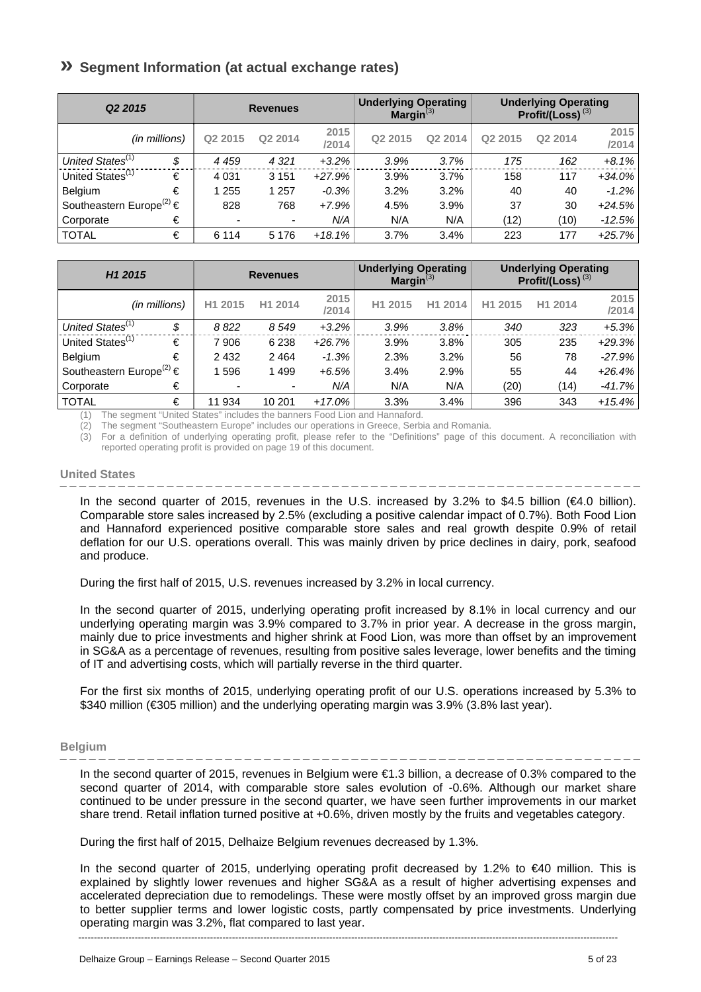# **» Segment Information (at actual exchange rates)**

| Q <sub>2</sub> 2015                      |                          | <b>Revenues</b>          |               | <b>Underlying Operating</b><br>Margin $^{(3)}$ |         |                     | <b>Underlying Operating</b><br>Profit/(Loss) <sup>(3)</sup> |               |
|------------------------------------------|--------------------------|--------------------------|---------------|------------------------------------------------|---------|---------------------|-------------------------------------------------------------|---------------|
| (in millions)                            | Q <sub>2</sub> 2015      | Q2 2014                  | 2015<br>/2014 | Q <sub>2</sub> 2015                            | Q2 2014 | Q <sub>2</sub> 2015 | Q2 2014                                                     | 2015<br>/2014 |
| United States <sup>(1)</sup><br>\$       | 4 4 5 9                  | 4 3 2 1                  | $+3.2%$       | 3.9%                                           | 3.7%    | 175                 | 162                                                         | $+8.1%$       |
| United States <sup>(1)</sup><br>€        | 4 0 31                   | 3 1 5 1                  | $+27.9%$      | 3.9%                                           | 3.7%    | 158                 | 117                                                         | $+34.0%$      |
| €<br><b>Belgium</b>                      | 255                      | 1 257                    | $-0.3%$       | 3.2%                                           | 3.2%    | 40                  | 40                                                          | $-1.2\%$      |
| Southeastern Europe <sup>(2)</sup> $\in$ | 828                      | 768                      | $+7.9%$       | 4.5%                                           | 3.9%    | 37                  | 30                                                          | $+24.5%$      |
| €<br>Corporate                           | $\overline{\phantom{0}}$ | $\overline{\phantom{a}}$ | N/A           | N/A                                            | N/A     | (12)                | (10)                                                        | $-12.5%$      |
| <b>TOTAL</b><br>€                        | 6 1 1 4                  | 5 1 7 6                  | $+18.1%$      | 3.7%                                           | 3.4%    | 223                 | 177                                                         | $+25.7%$      |

| H <sub>1</sub> 2015                      |    |         | <b>Revenues</b> |               | <b>Underlying Operating</b><br>Margin $^{(3)}$ |         |                     | <b>Underlying Operating</b><br>Profit/(Loss) $(3)$ |               |
|------------------------------------------|----|---------|-----------------|---------------|------------------------------------------------|---------|---------------------|----------------------------------------------------|---------------|
| (in millions)                            |    | H1 2015 | H1 2014         | 2015<br>/2014 | H <sub>1</sub> 2015                            | H1 2014 | H <sub>1</sub> 2015 | H1 2014                                            | 2015<br>/2014 |
| United States <sup>(1)</sup>             | \$ | 8822    | 8 5 4 9         | $+3.2%$       | 3.9%                                           | 3.8%    | 340                 | 323                                                | $+5.3%$       |
| United States <sup>(1)</sup>             | €  | 7906    | 6 2 3 8         | $+26.7%$      | 3.9%                                           | 3.8%    | 305                 | 235                                                | $+29.3%$      |
| Belgium                                  | €  | 2 4 3 2 | 2 4 6 4         | $-1.3%$       | 2.3%                                           | 3.2%    | 56                  | 78                                                 | $-27.9%$      |
| Southeastern Europe <sup>(2)</sup> $\in$ |    | 1596    | 1499            | $+6.5%$       | 3.4%                                           | 2.9%    | 55                  | 44                                                 | $+26.4%$      |
| Corporate                                | €  |         | ۰               | N/A           | N/A                                            | N/A     | (20)                | (14)                                               | $-41.7%$      |
| <b>TOTAL</b>                             | €  | 11 934  | 10 201          | $+17.0%$      | 3.3%                                           | 3.4%    | 396                 | 343                                                | $+15.4%$      |

The segment "United States" includes the banners Food Lion and Hannaford.

(2) The segment "Southeastern Europe" includes our operations in Greece, Serbia and Romania.

(3) For a definition of underlying operating profit, please refer to the "Definitions" page of this document. A reconciliation with reported operating profit is provided on page 19 of this document.

#### **United States**

In the second quarter of 2015, revenues in the U.S. increased by 3.2% to \$4.5 billion (€4.0 billion). Comparable store sales increased by 2.5% (excluding a positive calendar impact of 0.7%). Both Food Lion and Hannaford experienced positive comparable store sales and real growth despite 0.9% of retail deflation for our U.S. operations overall. This was mainly driven by price declines in dairy, pork, seafood and produce.

During the first half of 2015, U.S. revenues increased by 3.2% in local currency.

In the second quarter of 2015, underlying operating profit increased by 8.1% in local currency and our underlying operating margin was 3.9% compared to 3.7% in prior year. A decrease in the gross margin, mainly due to price investments and higher shrink at Food Lion, was more than offset by an improvement in SG&A as a percentage of revenues, resulting from positive sales leverage, lower benefits and the timing of IT and advertising costs, which will partially reverse in the third quarter.

For the first six months of 2015, underlying operating profit of our U.S. operations increased by 5.3% to \$340 million (€305 million) and the underlying operating margin was 3.9% (3.8% last year).

#### **Belgium**

In the second quarter of 2015, revenues in Belgium were €1.3 billion, a decrease of 0.3% compared to the second quarter of 2014, with comparable store sales evolution of -0.6%. Although our market share continued to be under pressure in the second quarter, we have seen further improvements in our market share trend. Retail inflation turned positive at +0.6%, driven mostly by the fruits and vegetables category.

During the first half of 2015, Delhaize Belgium revenues decreased by 1.3%.

In the second quarter of 2015, underlying operating profit decreased by 1.2% to €40 million. This is explained by slightly lower revenues and higher SG&A as a result of higher advertising expenses and accelerated depreciation due to remodelings. These were mostly offset by an improved gross margin due to better supplier terms and lower logistic costs, partly compensated by price investments. Underlying operating margin was 3.2%, flat compared to last year.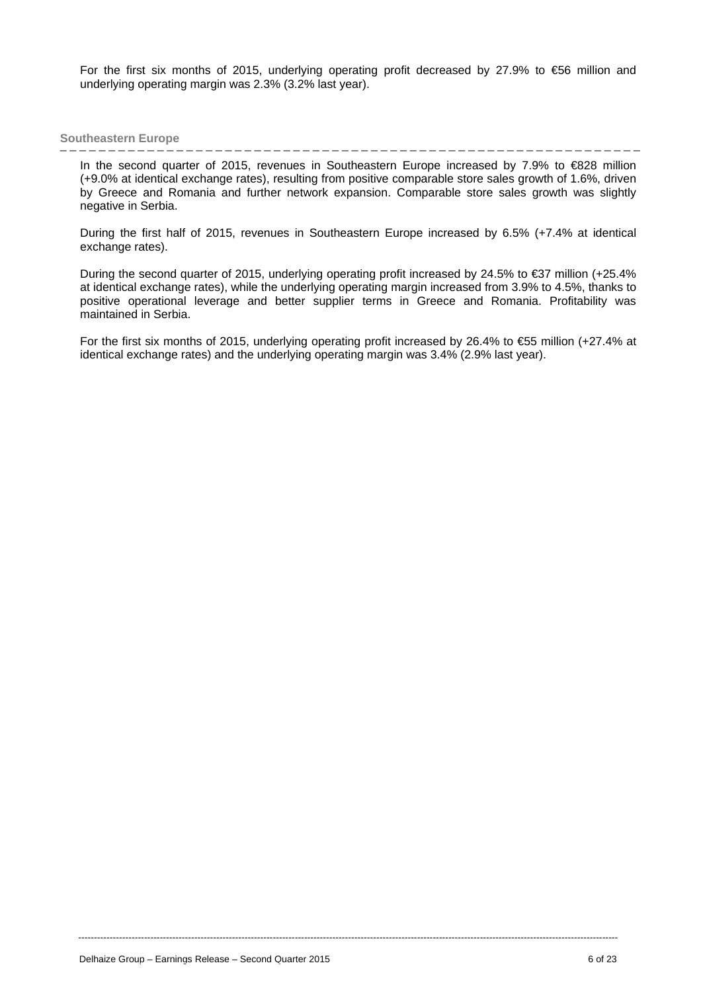For the first six months of 2015, underlying operating profit decreased by 27.9% to €56 million and underlying operating margin was 2.3% (3.2% last year).

#### **Southeastern Europe**

In the second quarter of 2015, revenues in Southeastern Europe increased by 7.9% to €828 million (+9.0% at identical exchange rates), resulting from positive comparable store sales growth of 1.6%, driven by Greece and Romania and further network expansion. Comparable store sales growth was slightly negative in Serbia.

During the first half of 2015, revenues in Southeastern Europe increased by 6.5% (+7.4% at identical exchange rates).

During the second quarter of 2015, underlying operating profit increased by 24.5% to €37 million (+25.4% at identical exchange rates), while the underlying operating margin increased from 3.9% to 4.5%, thanks to positive operational leverage and better supplier terms in Greece and Romania. Profitability was maintained in Serbia.

For the first six months of 2015, underlying operating profit increased by 26.4% to €55 million (+27.4% at identical exchange rates) and the underlying operating margin was 3.4% (2.9% last year).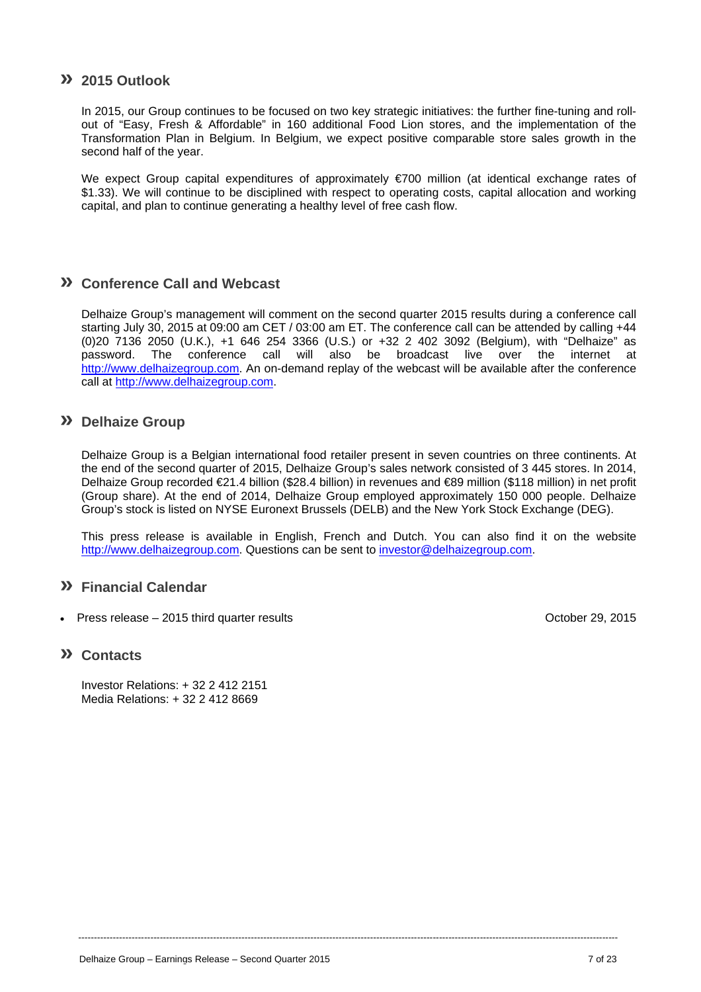### **» 2015 Outlook**

In 2015, our Group continues to be focused on two key strategic initiatives: the further fine-tuning and rollout of "Easy, Fresh & Affordable" in 160 additional Food Lion stores, and the implementation of the Transformation Plan in Belgium. In Belgium, we expect positive comparable store sales growth in the second half of the year.

We expect Group capital expenditures of approximately €700 million (at identical exchange rates of \$1.33). We will continue to be disciplined with respect to operating costs, capital allocation and working capital, and plan to continue generating a healthy level of free cash flow.

### **» Conference Call and Webcast**

Delhaize Group's management will comment on the second quarter 2015 results during a conference call starting July 30, 2015 at 09:00 am CET / 03:00 am ET. The conference call can be attended by calling +44 (0)20 7136 2050 (U.K.), +1 646 254 3366 (U.S.) or +32 2 402 3092 (Belgium), with "Delhaize" as password. The conference call will also be broadcast live over the internet at http://www.delhaizegroup.com. An on-demand replay of the webcast will be available after the conference call at http://www.delhaizegroup.com.

### **» Delhaize Group**

Delhaize Group is a Belgian international food retailer present in seven countries on three continents. At the end of the second quarter of 2015, Delhaize Group's sales network consisted of 3 445 stores. In 2014, Delhaize Group recorded €21.4 billion (\$28.4 billion) in revenues and €89 million (\$118 million) in net profit (Group share). At the end of 2014, Delhaize Group employed approximately 150 000 people. Delhaize Group's stock is listed on NYSE Euronext Brussels (DELB) and the New York Stock Exchange (DEG).

This press release is available in English, French and Dutch. You can also find it on the website http://www.delhaizegroup.com. Questions can be sent to investor@delhaizegroup.com.

----------------------------------------------------------------------------------------------------------------------------------------------------------------------------

### **» Financial Calendar**

Press release – 2015 third quarter results October 29, 2015

### **» Contacts**

Investor Relations: + 32 2 412 2151 Media Relations: + 32 2 412 8669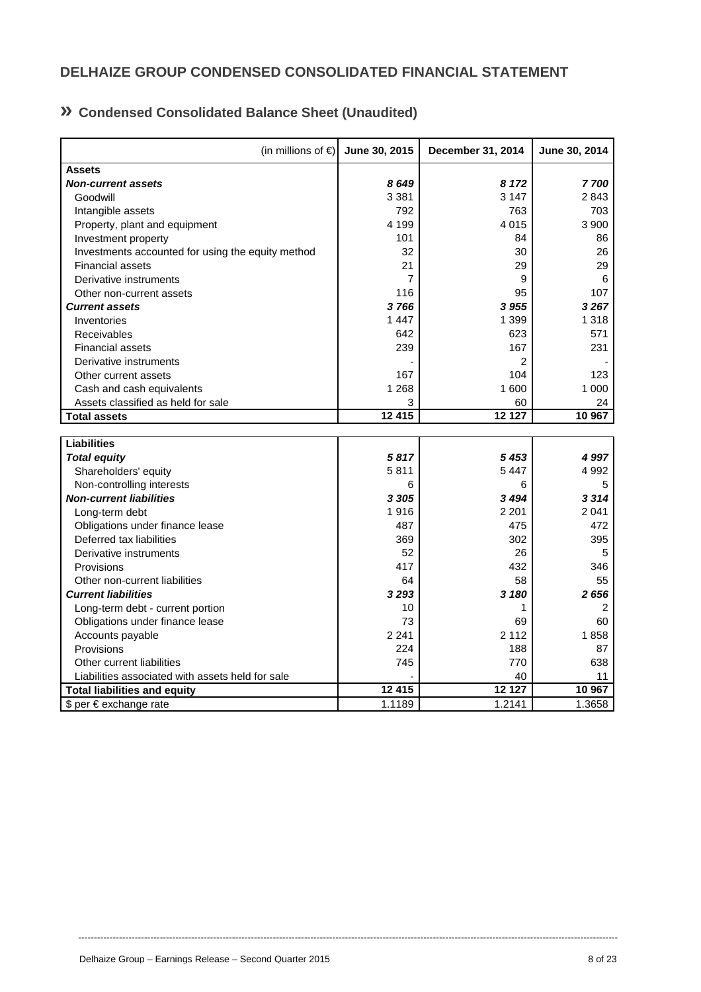# **DELHAIZE GROUP CONDENSED CONSOLIDATED FINANCIAL STATEMENT**

# **» Condensed Consolidated Balance Sheet (Unaudited)**

| (in millions of $\epsilon$ )                      | June 30, 2015  | December 31, 2014 | June 30, 2014 |
|---------------------------------------------------|----------------|-------------------|---------------|
| <b>Assets</b>                                     |                |                   |               |
| <b>Non-current assets</b>                         | 8649           | 8 1 7 2           | 7700          |
| Goodwill                                          | 3 3 8 1        | 3 1 4 7           | 2843          |
| Intangible assets                                 | 792            | 763               | 703           |
| Property, plant and equipment                     | 4 1 9 9        | 4 0 1 5           | 3 900         |
| Investment property                               | 101            | 84                | 86            |
| Investments accounted for using the equity method | 32             | 30                | 26            |
| <b>Financial assets</b>                           | 21             | 29                | 29            |
| Derivative instruments                            | $\overline{7}$ | 9                 | 6             |
| Other non-current assets                          | 116            | 95                | 107           |
| <b>Current assets</b>                             | 3766           | 3 9 5 5           | 3267          |
| Inventories                                       | 1 4 4 7        | 1 3 9 9           | 1 3 1 8       |
| Receivables                                       | 642            | 623               | 571           |
| <b>Financial assets</b>                           | 239            | 167               | 231           |
| Derivative instruments                            |                | 2                 |               |
| Other current assets                              | 167            | 104               | 123           |
| Cash and cash equivalents                         | 1 2 6 8        | 1 600             | 1 0 0 0       |
| Assets classified as held for sale                | 3              | 60                | 24            |
| <b>Total assets</b>                               | 12 415         | 12 127            | 10 967        |
|                                                   |                |                   |               |
| <b>Liabilities</b>                                |                |                   |               |
| <b>Total equity</b>                               | 5817           | 5 4 5 3           | 4997          |
| Shareholders' equity                              | 5811           | 5447              | 4 9 9 2       |
| Non-controlling interests                         | 6              | 6                 | 5             |
| <b>Non-current liabilities</b>                    | 3 3 0 5        | 3494              | 3314          |
| Long-term debt                                    | 1916           | 2 2 0 1           | 2041          |
| Obligations under finance lease                   | 487            | 475               | 472           |
| Deferred tax liabilities                          | 369            | 302               | 395           |
| Derivative instruments                            | 52             | 26                | 5             |
| Provisions                                        | 417            | 432               | 346           |
| Other non-current liabilities                     | 64             | 58                | 55            |
| <b>Current liabilities</b>                        | 3293           | 3 180             | 2656          |
| Long-term debt - current portion                  | 10             | 1                 | 2             |
| Obligations under finance lease                   | 73             | 69                | 60            |
| Accounts payable                                  | 2 2 4 1        | 2 1 1 2           | 1858          |
| Provisions                                        | 224            | 188               | 87            |
| Other current liabilities                         | 745            | 770               | 638           |
| Liabilities associated with assets held for sale  |                | 40                | 11            |
| <b>Total liabilities and equity</b>               | 12 415         | 12 127            | 10 967        |
| \$ per € exchange rate                            | 1.1189         | 1.2141            | 1.3658        |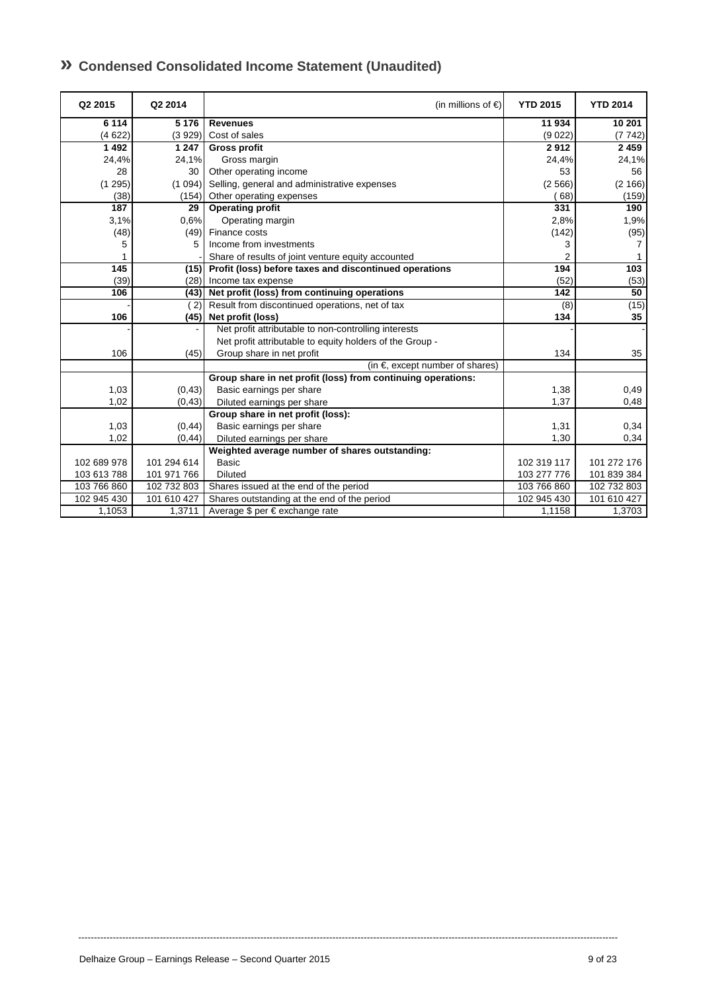| » Condensed Consolidated Income Statement (Unaudited) |
|-------------------------------------------------------|
|-------------------------------------------------------|

| Q2 2015     | Q2 2014        | (in millions of $\epsilon$ )                                 | <b>YTD 2015</b> | <b>YTD 2014</b> |
|-------------|----------------|--------------------------------------------------------------|-----------------|-----------------|
| 6 1 1 4     | 5 1 7 6        | <b>Revenues</b>                                              | 11 934          | 10 201          |
| (4622)      | (3929)         | Cost of sales                                                | (9022)          | (7742)          |
| 1 4 9 2     | 1 2 4 7        | <b>Gross profit</b>                                          | 2912            | 2459            |
| 24,4%       | 24,1%          | Gross margin                                                 | 24,4%           | 24,1%           |
| 28          | 30             | Other operating income                                       | 53              | 56              |
| (1295)      | (1094)         | Selling, general and administrative expenses                 | (2566)          | (2 166)         |
| (38)        | (154)          | Other operating expenses                                     | 68)             | (159)           |
| 187         | 29             | <b>Operating profit</b>                                      | 331             | 190             |
| 3,1%        | 0.6%           | Operating margin                                             | 2,8%            | 1,9%            |
| (48)        | (49)           | Finance costs                                                | (142)           | (95)            |
| 5           | 5              | Income from investments                                      | 3               | 7               |
|             |                | Share of results of joint venture equity accounted           | 2               |                 |
| 145         | (15)           | Profit (loss) before taxes and discontinued operations       | 194             | 103             |
| (39)        | (28)           | Income tax expense                                           | (52)            | (53)            |
| 106         | (43)           | Net profit (loss) from continuing operations                 | 142             | 50              |
|             | $^{\prime}$ 2) | Result from discontinued operations, net of tax              | (8)             | (15)            |
| 106         | (45)           | Net profit (loss)                                            | 134             | 35              |
|             |                | Net profit attributable to non-controlling interests         |                 |                 |
|             |                | Net profit attributable to equity holders of the Group -     |                 |                 |
| 106         | (45)           | Group share in net profit                                    | 134             | 35              |
|             |                | (in $\epsilon$ , except number of shares)                    |                 |                 |
|             |                | Group share in net profit (loss) from continuing operations: |                 |                 |
| 1,03        | (0, 43)        | Basic earnings per share                                     | 1,38            | 0,49            |
| 1,02        | (0, 43)        | Diluted earnings per share                                   | 1,37            | 0,48            |
|             |                | Group share in net profit (loss):                            |                 |                 |
| 1,03        | (0, 44)        | Basic earnings per share                                     | 1,31            | 0,34            |
| 1,02        | (0, 44)        | Diluted earnings per share                                   | 1,30            | 0,34            |
|             |                | Weighted average number of shares outstanding:               |                 |                 |
| 102 689 978 | 101 294 614    | <b>Basic</b>                                                 | 102 319 117     | 101 272 176     |
| 103 613 788 | 101 971 766    | <b>Diluted</b>                                               | 103 277 776     | 101 839 384     |
| 103 766 860 | 102 732 803    | Shares issued at the end of the period                       | 103 766 860     | 102 732 803     |
| 102 945 430 | 101 610 427    | Shares outstanding at the end of the period                  | 102 945 430     | 101 610 427     |
| 1,1053      | 1,3711         | Average \$ per € exchange rate                               | 1,1158          | 1,3703          |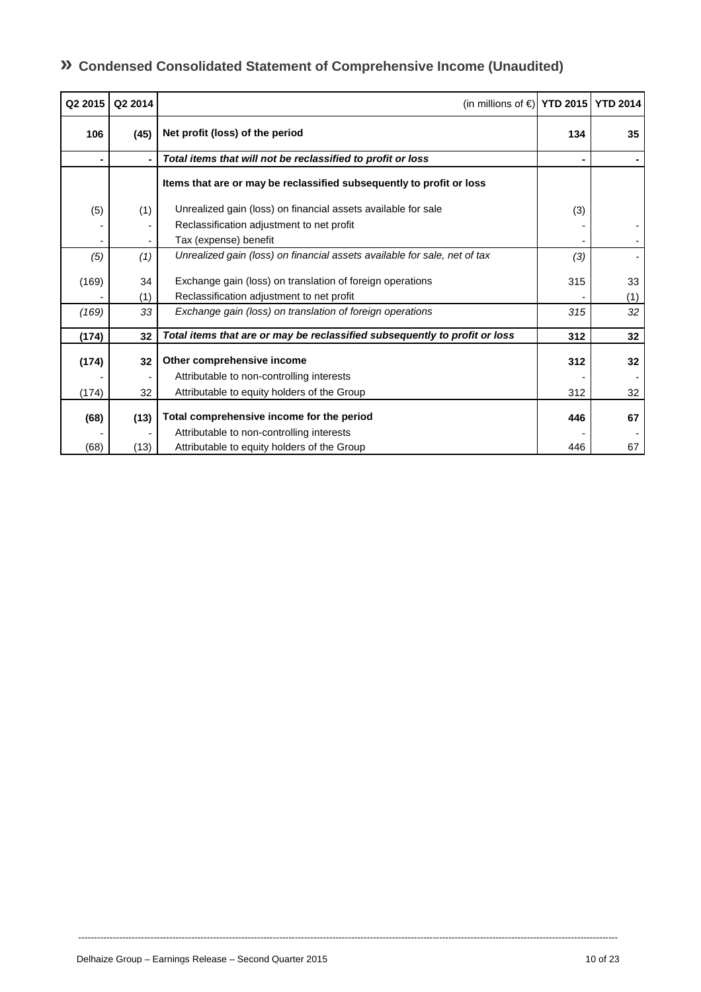# **» Condensed Consolidated Statement of Comprehensive Income (Unaudited)**

| Q2 2015 | Q2 2014 | (in millions of $\in$ ) YTD 2015 YTD 2014                                  |     |     |
|---------|---------|----------------------------------------------------------------------------|-----|-----|
| 106     | (45)    | Net profit (loss) of the period                                            | 134 | 35  |
| ۰       | ٠       | Total items that will not be reclassified to profit or loss                |     |     |
|         |         | Items that are or may be reclassified subsequently to profit or loss       |     |     |
| (5)     | (1)     | Unrealized gain (loss) on financial assets available for sale              | (3) |     |
|         |         | Reclassification adjustment to net profit                                  |     |     |
|         |         | Tax (expense) benefit                                                      |     |     |
| (5)     | (1)     | Unrealized gain (loss) on financial assets available for sale, net of tax  | (3) |     |
| (169)   | 34      | Exchange gain (loss) on translation of foreign operations                  | 315 | 33  |
|         | (1)     | Reclassification adjustment to net profit                                  |     | (1) |
| (169)   | 33      | Exchange gain (loss) on translation of foreign operations                  | 315 | 32  |
| (174)   | 32      | Total items that are or may be reclassified subsequently to profit or loss | 312 | 32  |
| (174)   | 32      | Other comprehensive income                                                 | 312 | 32  |
|         |         | Attributable to non-controlling interests                                  |     |     |
| (174)   | 32      | Attributable to equity holders of the Group                                | 312 | 32  |
| (68)    | (13)    | Total comprehensive income for the period                                  | 446 | 67  |
|         |         | Attributable to non-controlling interests                                  |     |     |
| (68)    | (13)    | Attributable to equity holders of the Group                                | 446 | 67  |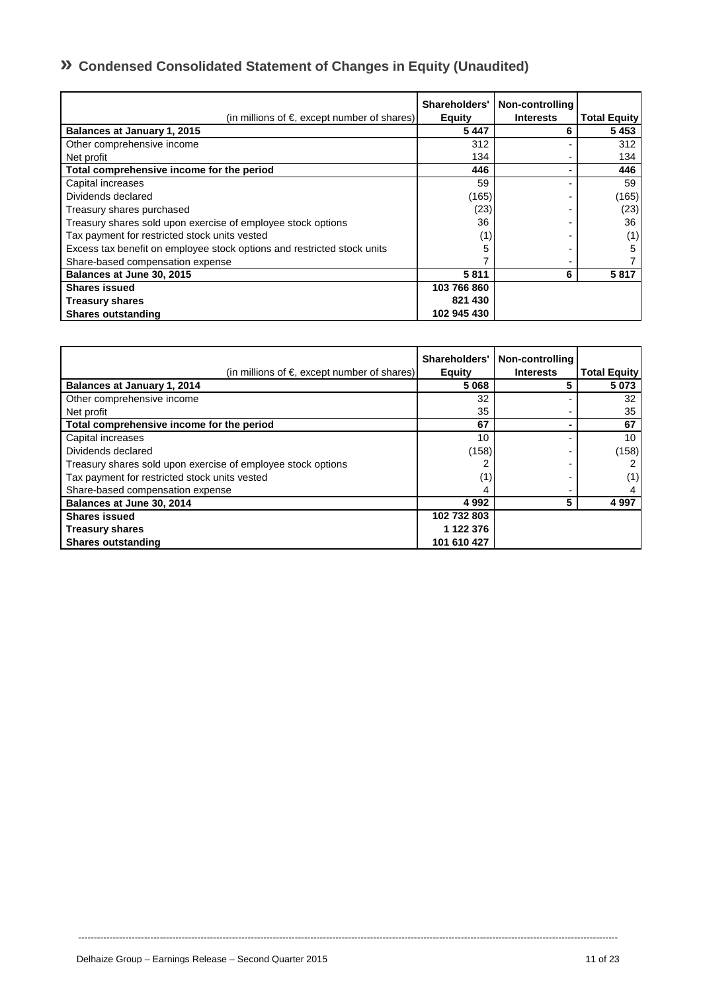# **» Condensed Consolidated Statement of Changes in Equity (Unaudited)**

| (in millions of $\epsilon$ , except number of shares)                   | Shareholders'<br><b>Equity</b> | Non-controlling<br><b>Interests</b> | <b>Total Equity</b> |
|-------------------------------------------------------------------------|--------------------------------|-------------------------------------|---------------------|
| Balances at January 1, 2015                                             | 5447                           | 6                                   | 5453                |
| Other comprehensive income                                              | 312                            |                                     | 312                 |
| Net profit                                                              | 134                            |                                     | 134                 |
| Total comprehensive income for the period                               | 446                            |                                     | 446                 |
| Capital increases                                                       | 59                             |                                     | 59                  |
| Dividends declared                                                      | (165)                          |                                     | (165)               |
| Treasury shares purchased                                               | (23)                           |                                     | (23)                |
| Treasury shares sold upon exercise of employee stock options            | 36                             |                                     | 36 <sup>1</sup>     |
| Tax payment for restricted stock units vested                           | (1)                            |                                     | (1)                 |
| Excess tax benefit on employee stock options and restricted stock units |                                |                                     | 5                   |
| Share-based compensation expense                                        |                                |                                     |                     |
| Balances at June 30, 2015                                               | 5811                           | 6                                   | 5817                |
| <b>Shares issued</b>                                                    | 103 766 860                    |                                     |                     |
| <b>Treasury shares</b>                                                  | 821 430                        |                                     |                     |
| <b>Shares outstanding</b>                                               | 102 945 430                    |                                     |                     |

| (in millions of $\epsilon$ , except number of shares)        | Shareholders'<br><b>Equity</b> | Non-controlling<br><b>Interests</b> | <b>Total Equity</b> |
|--------------------------------------------------------------|--------------------------------|-------------------------------------|---------------------|
| Balances at January 1, 2014                                  | 5068                           |                                     | 5 0 7 3             |
| Other comprehensive income                                   | 32                             |                                     | 32                  |
| Net profit                                                   | 35                             |                                     | 35                  |
| Total comprehensive income for the period                    | 67                             |                                     | 67                  |
| Capital increases                                            | 10                             |                                     | 10                  |
| Dividends declared                                           | (158)                          |                                     | (158)               |
| Treasury shares sold upon exercise of employee stock options |                                |                                     |                     |
| Tax payment for restricted stock units vested                |                                |                                     | (1)                 |
| Share-based compensation expense                             |                                |                                     |                     |
| Balances at June 30, 2014                                    | 4992                           | 5                                   | 4 9 9 7             |
| <b>Shares issued</b>                                         | 102 732 803                    |                                     |                     |
| <b>Treasury shares</b>                                       | 1 122 376                      |                                     |                     |
| <b>Shares outstanding</b>                                    | 101 610 427                    |                                     |                     |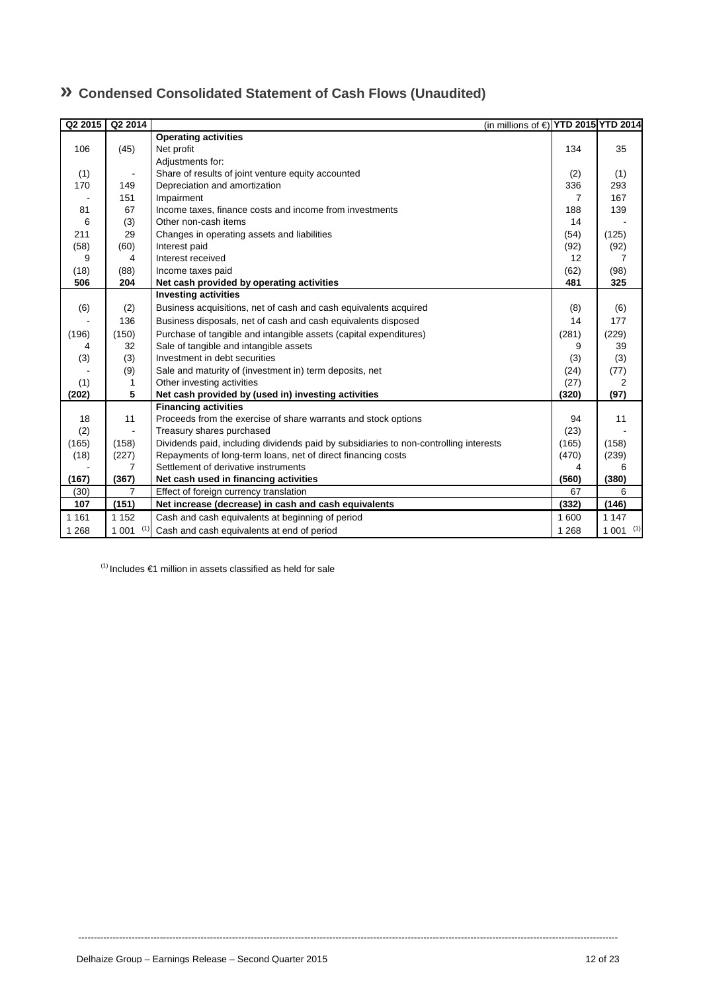| Q2 2015 | Q2 2014        |                                                                                       | (in millions of € YTD 2015 YTD 2014 |                |                |
|---------|----------------|---------------------------------------------------------------------------------------|-------------------------------------|----------------|----------------|
|         |                | <b>Operating activities</b>                                                           |                                     |                |                |
| 106     | (45)           | Net profit                                                                            |                                     | 134            | 35             |
|         |                | Adjustments for:                                                                      |                                     |                |                |
| (1)     |                | Share of results of joint venture equity accounted                                    |                                     | (2)            | (1)            |
| 170     | 149            | Depreciation and amortization                                                         |                                     | 336            | 293            |
|         | 151            | Impairment                                                                            |                                     | $\overline{7}$ | 167            |
| 81      | 67             | Income taxes, finance costs and income from investments                               |                                     | 188            | 139            |
| 6       | (3)            | Other non-cash items                                                                  |                                     | 14             |                |
| 211     | 29             | Changes in operating assets and liabilities                                           |                                     | (54)           | (125)          |
| (58)    | (60)           | Interest paid                                                                         |                                     | (92)           | (92)           |
| 9       | 4              | Interest received                                                                     |                                     | 12             | $\overline{7}$ |
| (18)    | (88)           | Income taxes paid                                                                     |                                     | (62)           | (98)           |
| 506     | 204            | Net cash provided by operating activities                                             |                                     | 481            | 325            |
|         |                | <b>Investing activities</b>                                                           |                                     |                |                |
| (6)     | (2)            | Business acquisitions, net of cash and cash equivalents acquired                      |                                     | (8)            | (6)            |
|         | 136            | Business disposals, net of cash and cash equivalents disposed                         |                                     | 14             | 177            |
| (196)   | (150)          | Purchase of tangible and intangible assets (capital expenditures)                     |                                     | (281)          | (229)          |
| 4       | 32             | Sale of tangible and intangible assets                                                |                                     | 9              | 39             |
| (3)     | (3)            | Investment in debt securities                                                         |                                     | (3)            | (3)            |
|         | (9)            | Sale and maturity of (investment in) term deposits, net                               |                                     | (24)           | (77)           |
| (1)     | 1              | Other investing activities                                                            |                                     | (27)           | 2              |
| (202)   | 5              | Net cash provided by (used in) investing activities                                   |                                     | (320)          | (97)           |
|         |                | <b>Financing activities</b>                                                           |                                     |                |                |
| 18      | 11             | Proceeds from the exercise of share warrants and stock options                        |                                     | 94             | 11             |
| (2)     |                | Treasury shares purchased                                                             |                                     | (23)           |                |
| (165)   | (158)          | Dividends paid, including dividends paid by subsidiaries to non-controlling interests |                                     | (165)          | (158)          |
| (18)    | (227)          | Repayments of long-term loans, net of direct financing costs                          |                                     | (470)          | (239)          |
|         | 7              | Settlement of derivative instruments                                                  |                                     | 4              | 6              |
| (167)   | (367)          | Net cash used in financing activities                                                 |                                     | (560)          | (380)          |
| (30)    | $\overline{7}$ | Effect of foreign currency translation                                                |                                     | 67             | 6              |
| 107     | (151)          | Net increase (decrease) in cash and cash equivalents                                  |                                     | (332)          | (146)          |
| 1 1 6 1 | 1 1 5 2        | Cash and cash equivalents at beginning of period                                      |                                     | 1 600          | 1 1 4 7        |
| 1 2 6 8 | $1001$ (1)     | Cash and cash equivalents at end of period                                            |                                     | 1 2 6 8        | $1001$ (1)     |

----------------------------------------------------------------------------------------------------------------------------------------------------------------------------

# **» Condensed Consolidated Statement of Cash Flows (Unaudited)**

 $(1)$  Includes  $\in$ 1 million in assets classified as held for sale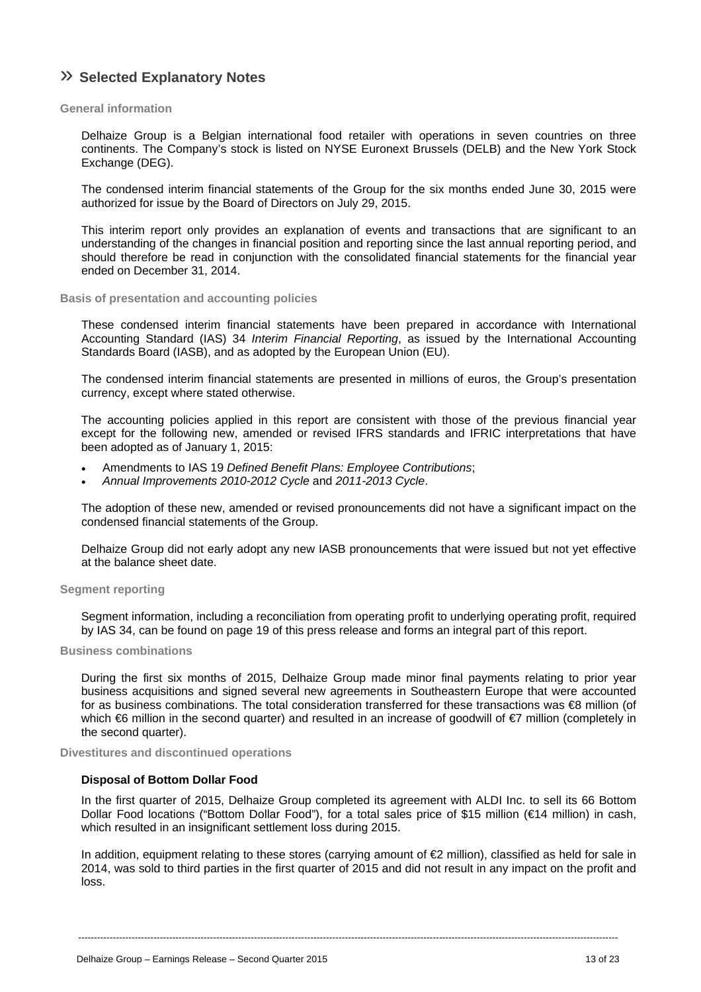# » **Selected Explanatory Notes**

#### **General information**

Delhaize Group is a Belgian international food retailer with operations in seven countries on three continents. The Company's stock is listed on NYSE Euronext Brussels (DELB) and the New York Stock Exchange (DEG).

The condensed interim financial statements of the Group for the six months ended June 30, 2015 were authorized for issue by the Board of Directors on July 29, 2015.

This interim report only provides an explanation of events and transactions that are significant to an understanding of the changes in financial position and reporting since the last annual reporting period, and should therefore be read in conjunction with the consolidated financial statements for the financial year ended on December 31, 2014.

#### **Basis of presentation and accounting policies**

These condensed interim financial statements have been prepared in accordance with International Accounting Standard (IAS) 34 *Interim Financial Reporting*, as issued by the International Accounting Standards Board (IASB), and as adopted by the European Union (EU).

The condensed interim financial statements are presented in millions of euros, the Group's presentation currency, except where stated otherwise.

The accounting policies applied in this report are consistent with those of the previous financial year except for the following new, amended or revised IFRS standards and IFRIC interpretations that have been adopted as of January 1, 2015:

- Amendments to IAS 19 *Defined Benefit Plans: Employee Contributions*;
- *Annual Improvements 2010-2012 Cycle* and *2011-2013 Cycle*.

The adoption of these new, amended or revised pronouncements did not have a significant impact on the condensed financial statements of the Group.

Delhaize Group did not early adopt any new IASB pronouncements that were issued but not yet effective at the balance sheet date.

#### **Segment reporting**

Segment information, including a reconciliation from operating profit to underlying operating profit, required by IAS 34, can be found on page 19 of this press release and forms an integral part of this report.

#### **Business combinations**

During the first six months of 2015, Delhaize Group made minor final payments relating to prior year business acquisitions and signed several new agreements in Southeastern Europe that were accounted for as business combinations. The total consideration transferred for these transactions was €8 million (of which €6 million in the second quarter) and resulted in an increase of goodwill of €7 million (completely in the second quarter).

#### **Divestitures and discontinued operations**

#### **Disposal of Bottom Dollar Food**

In the first quarter of 2015, Delhaize Group completed its agreement with ALDI Inc. to sell its 66 Bottom Dollar Food locations ("Bottom Dollar Food"), for a total sales price of \$15 million (€14 million) in cash, which resulted in an insignificant settlement loss during 2015.

In addition, equipment relating to these stores (carrying amount of €2 million), classified as held for sale in 2014, was sold to third parties in the first quarter of 2015 and did not result in any impact on the profit and loss.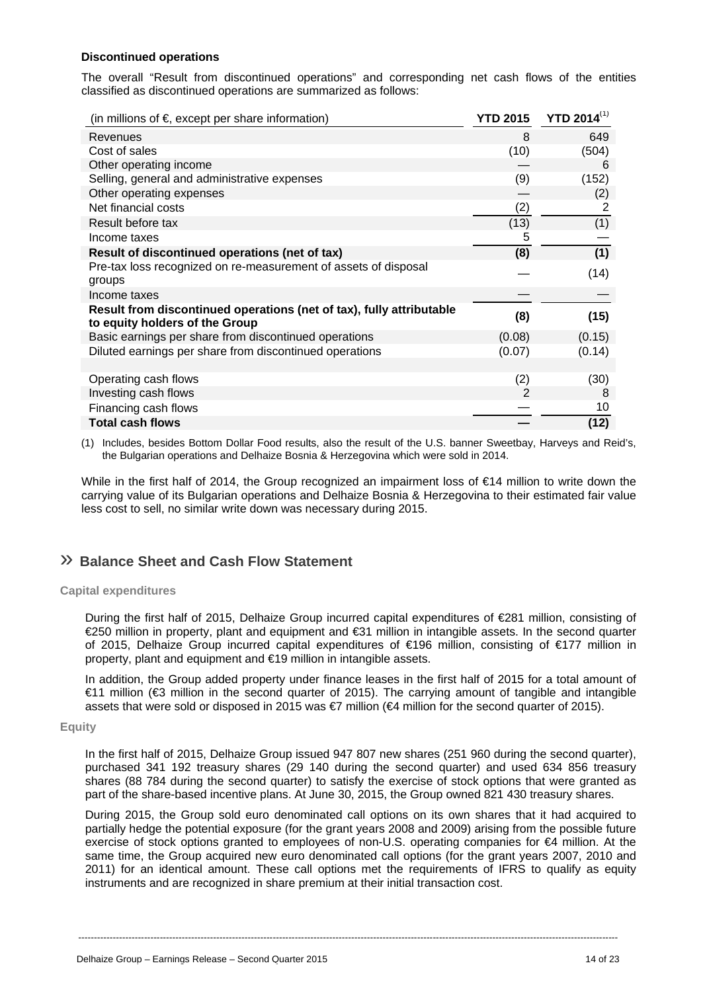#### **Discontinued operations**

The overall "Result from discontinued operations" and corresponding net cash flows of the entities classified as discontinued operations are summarized as follows:

| (in millions of $\epsilon$ , except per share information)                                             | <b>YTD 2015</b> | <b>YTD 2014(1)</b> |
|--------------------------------------------------------------------------------------------------------|-----------------|--------------------|
| Revenues                                                                                               | 8               | 649                |
| Cost of sales                                                                                          | (10)            | (504)              |
| Other operating income                                                                                 |                 | 6                  |
| Selling, general and administrative expenses                                                           | (9)             | (152)              |
| Other operating expenses                                                                               |                 | (2)                |
| Net financial costs                                                                                    | (2)             | 2                  |
| Result before tax                                                                                      | (13)            | (1)                |
| Income taxes                                                                                           | 5               |                    |
| Result of discontinued operations (net of tax)                                                         | (8)             | (1)                |
| Pre-tax loss recognized on re-measurement of assets of disposal                                        |                 | (14)               |
| groups                                                                                                 |                 |                    |
| Income taxes                                                                                           |                 |                    |
| Result from discontinued operations (net of tax), fully attributable<br>to equity holders of the Group | (8)             | (15)               |
| Basic earnings per share from discontinued operations                                                  | (0.08)          | (0.15)             |
| Diluted earnings per share from discontinued operations                                                | (0.07)          | (0.14)             |
|                                                                                                        |                 |                    |
| Operating cash flows                                                                                   | (2)             | (30)               |
| Investing cash flows                                                                                   | 2               | 8                  |
| Financing cash flows                                                                                   |                 | 10                 |
| <b>Total cash flows</b>                                                                                |                 | (12)               |

(1) Includes, besides Bottom Dollar Food results, also the result of the U.S. banner Sweetbay, Harveys and Reid's, the Bulgarian operations and Delhaize Bosnia & Herzegovina which were sold in 2014.

While in the first half of 2014, the Group recognized an impairment loss of €14 million to write down the carrying value of its Bulgarian operations and Delhaize Bosnia & Herzegovina to their estimated fair value less cost to sell, no similar write down was necessary during 2015.

## » **Balance Sheet and Cash Flow Statement**

#### **Capital expenditures**

During the first half of 2015, Delhaize Group incurred capital expenditures of €281 million, consisting of €250 million in property, plant and equipment and €31 million in intangible assets. In the second quarter of 2015, Delhaize Group incurred capital expenditures of €196 million, consisting of €177 million in property, plant and equipment and €19 million in intangible assets.

In addition, the Group added property under finance leases in the first half of 2015 for a total amount of €11 million (€3 million in the second quarter of 2015). The carrying amount of tangible and intangible assets that were sold or disposed in 2015 was €7 million (€4 million for the second quarter of 2015).

#### **Equity**

In the first half of 2015, Delhaize Group issued 947 807 new shares (251 960 during the second quarter), purchased 341 192 treasury shares (29 140 during the second quarter) and used 634 856 treasury shares (88 784 during the second quarter) to satisfy the exercise of stock options that were granted as part of the share-based incentive plans. At June 30, 2015, the Group owned 821 430 treasury shares.

During 2015, the Group sold euro denominated call options on its own shares that it had acquired to partially hedge the potential exposure (for the grant years 2008 and 2009) arising from the possible future exercise of stock options granted to employees of non-U.S. operating companies for €4 million. At the same time, the Group acquired new euro denominated call options (for the grant years 2007, 2010 and 2011) for an identical amount. These call options met the requirements of IFRS to qualify as equity instruments and are recognized in share premium at their initial transaction cost.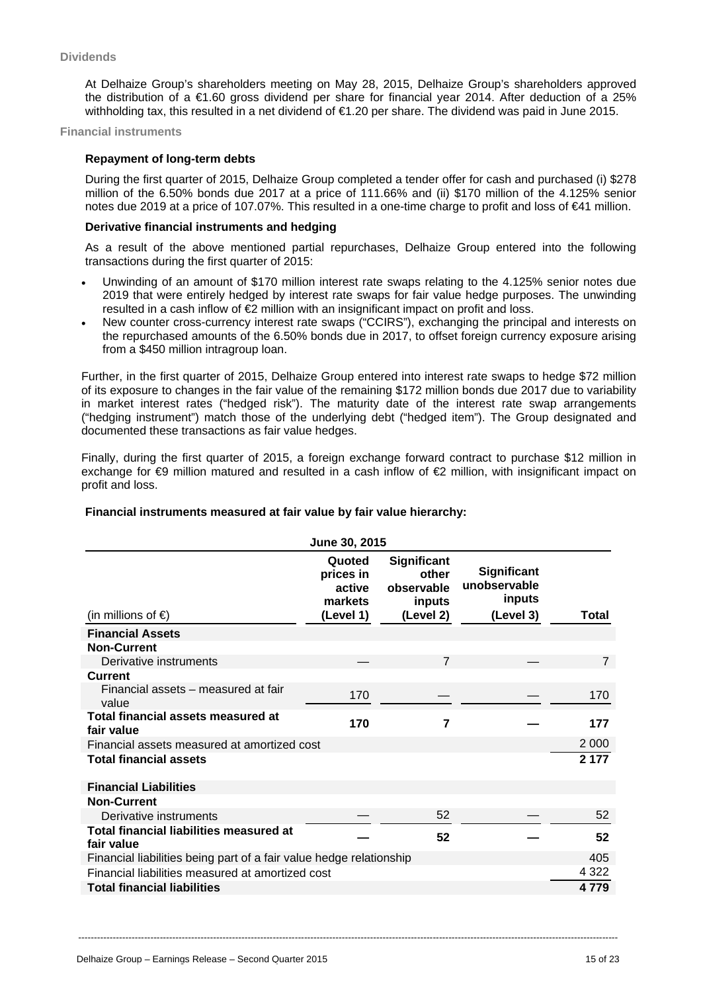At Delhaize Group's shareholders meeting on May 28, 2015, Delhaize Group's shareholders approved the distribution of a €1.60 gross dividend per share for financial year 2014. After deduction of a 25% withholding tax, this resulted in a net dividend of €1.20 per share. The dividend was paid in June 2015.

**Financial instruments**

#### **Repayment of long-term debts**

During the first quarter of 2015, Delhaize Group completed a tender offer for cash and purchased (i) \$278 million of the 6.50% bonds due 2017 at a price of 111.66% and (ii) \$170 million of the 4.125% senior notes due 2019 at a price of 107.07%. This resulted in a one-time charge to profit and loss of €41 million.

#### **Derivative financial instruments and hedging**

As a result of the above mentioned partial repurchases, Delhaize Group entered into the following transactions during the first quarter of 2015:

- Unwinding of an amount of \$170 million interest rate swaps relating to the 4.125% senior notes due 2019 that were entirely hedged by interest rate swaps for fair value hedge purposes. The unwinding resulted in a cash inflow of  $\epsilon$  million with an insignificant impact on profit and loss.
- New counter cross-currency interest rate swaps ("CCIRS"), exchanging the principal and interests on the repurchased amounts of the 6.50% bonds due in 2017, to offset foreign currency exposure arising from a \$450 million intragroup loan.

Further, in the first quarter of 2015, Delhaize Group entered into interest rate swaps to hedge \$72 million of its exposure to changes in the fair value of the remaining \$172 million bonds due 2017 due to variability in market interest rates ("hedged risk"). The maturity date of the interest rate swap arrangements ("hedging instrument") match those of the underlying debt ("hedged item"). The Group designated and documented these transactions as fair value hedges.

Finally, during the first quarter of 2015, a foreign exchange forward contract to purchase \$12 million in exchange for €9 million matured and resulted in a cash inflow of €2 million, with insignificant impact on profit and loss.

### **Financial instruments measured at fair value by fair value hierarchy:**

| June 30, 2015                                                       |                                                       |                                                           |                                                           |                |  |  |
|---------------------------------------------------------------------|-------------------------------------------------------|-----------------------------------------------------------|-----------------------------------------------------------|----------------|--|--|
| (in millions of $\epsilon$ )                                        | Quoted<br>prices in<br>active<br>markets<br>(Level 1) | Significant<br>other<br>observable<br>inputs<br>(Level 2) | <b>Significant</b><br>unobservable<br>inputs<br>(Level 3) | Total          |  |  |
| <b>Financial Assets</b>                                             |                                                       |                                                           |                                                           |                |  |  |
| <b>Non-Current</b>                                                  |                                                       |                                                           |                                                           |                |  |  |
| Derivative instruments                                              |                                                       | $\overline{7}$                                            |                                                           | $\overline{7}$ |  |  |
| <b>Current</b>                                                      |                                                       |                                                           |                                                           |                |  |  |
| Financial assets – measured at fair<br>value                        | 170                                                   |                                                           |                                                           | 170            |  |  |
| Total financial assets measured at<br>fair value                    | 170                                                   | 7                                                         |                                                           | 177            |  |  |
| Financial assets measured at amortized cost                         |                                                       |                                                           |                                                           | 2 0 0 0        |  |  |
| <b>Total financial assets</b>                                       |                                                       |                                                           |                                                           | 2 1 7 7        |  |  |
| <b>Financial Liabilities</b>                                        |                                                       |                                                           |                                                           |                |  |  |
| <b>Non-Current</b>                                                  |                                                       |                                                           |                                                           |                |  |  |
| Derivative instruments                                              |                                                       | 52                                                        |                                                           | 52             |  |  |
| <b>Total financial liabilities measured at</b><br>fair value        |                                                       | 52                                                        |                                                           | 52             |  |  |
| Financial liabilities being part of a fair value hedge relationship |                                                       |                                                           |                                                           | 405            |  |  |
| Financial liabilities measured at amortized cost                    |                                                       |                                                           |                                                           | 4 3 2 2        |  |  |
| <b>Total financial liabilities</b>                                  |                                                       |                                                           |                                                           | 4 7 7 9        |  |  |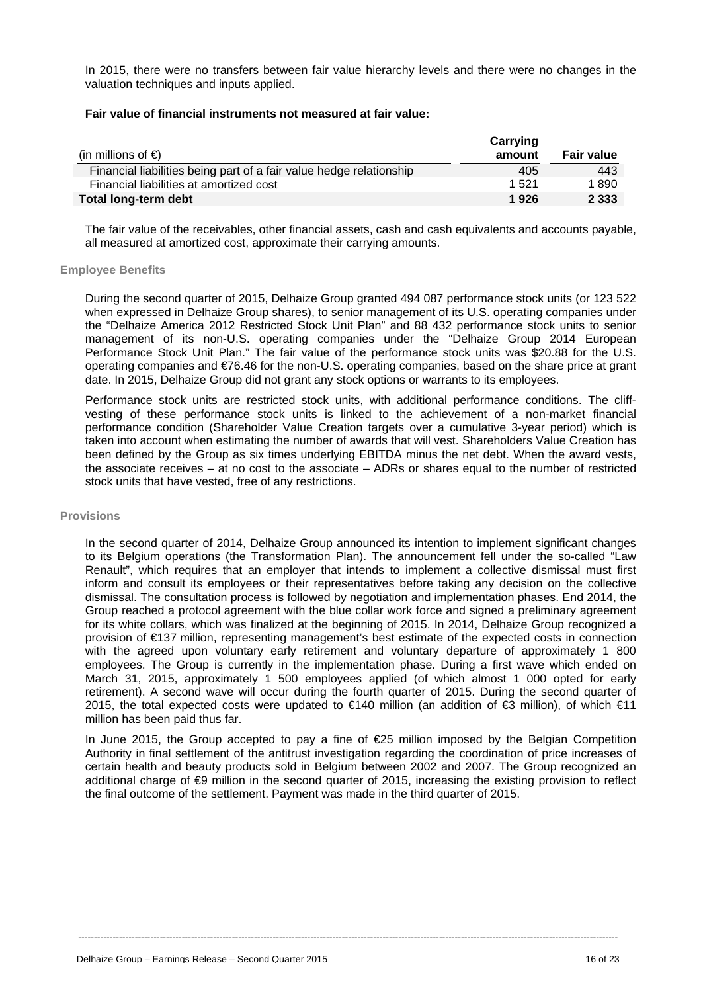In 2015, there were no transfers between fair value hierarchy levels and there were no changes in the valuation techniques and inputs applied.

#### **Fair value of financial instruments not measured at fair value:**

| (in millions of $\epsilon$ )                                        | Carrying<br>amount | <b>Fair value</b> |
|---------------------------------------------------------------------|--------------------|-------------------|
| Financial liabilities being part of a fair value hedge relationship | 405                | 443               |
| Financial liabilities at amortized cost                             | 1.521              | 1890              |
| Total long-term debt                                                | 1926               | 2 3 3 3           |

The fair value of the receivables, other financial assets, cash and cash equivalents and accounts payable, all measured at amortized cost, approximate their carrying amounts.

#### **Employee Benefits**

During the second quarter of 2015, Delhaize Group granted 494 087 performance stock units (or 123 522 when expressed in Delhaize Group shares), to senior management of its U.S. operating companies under the "Delhaize America 2012 Restricted Stock Unit Plan" and 88 432 performance stock units to senior management of its non-U.S. operating companies under the "Delhaize Group 2014 European Performance Stock Unit Plan." The fair value of the performance stock units was \$20.88 for the U.S. operating companies and €76.46 for the non-U.S. operating companies, based on the share price at grant date. In 2015, Delhaize Group did not grant any stock options or warrants to its employees.

Performance stock units are restricted stock units, with additional performance conditions. The cliffvesting of these performance stock units is linked to the achievement of a non-market financial performance condition (Shareholder Value Creation targets over a cumulative 3-year period) which is taken into account when estimating the number of awards that will vest. Shareholders Value Creation has been defined by the Group as six times underlying EBITDA minus the net debt. When the award vests, the associate receives – at no cost to the associate – ADRs or shares equal to the number of restricted stock units that have vested, free of any restrictions.

#### **Provisions**

In the second quarter of 2014, Delhaize Group announced its intention to implement significant changes to its Belgium operations (the Transformation Plan). The announcement fell under the so-called "Law Renault", which requires that an employer that intends to implement a collective dismissal must first inform and consult its employees or their representatives before taking any decision on the collective dismissal. The consultation process is followed by negotiation and implementation phases. End 2014, the Group reached a protocol agreement with the blue collar work force and signed a preliminary agreement for its white collars, which was finalized at the beginning of 2015. In 2014, Delhaize Group recognized a provision of €137 million, representing management's best estimate of the expected costs in connection with the agreed upon voluntary early retirement and voluntary departure of approximately 1 800 employees. The Group is currently in the implementation phase. During a first wave which ended on March 31, 2015, approximately 1 500 employees applied (of which almost 1 000 opted for early retirement). A second wave will occur during the fourth quarter of 2015. During the second quarter of 2015, the total expected costs were updated to €140 million (an addition of €3 million), of which €11 million has been paid thus far.

In June 2015, the Group accepted to pay a fine of €25 million imposed by the Belgian Competition Authority in final settlement of the antitrust investigation regarding the coordination of price increases of certain health and beauty products sold in Belgium between 2002 and 2007. The Group recognized an additional charge of €9 million in the second quarter of 2015, increasing the existing provision to reflect the final outcome of the settlement. Payment was made in the third quarter of 2015.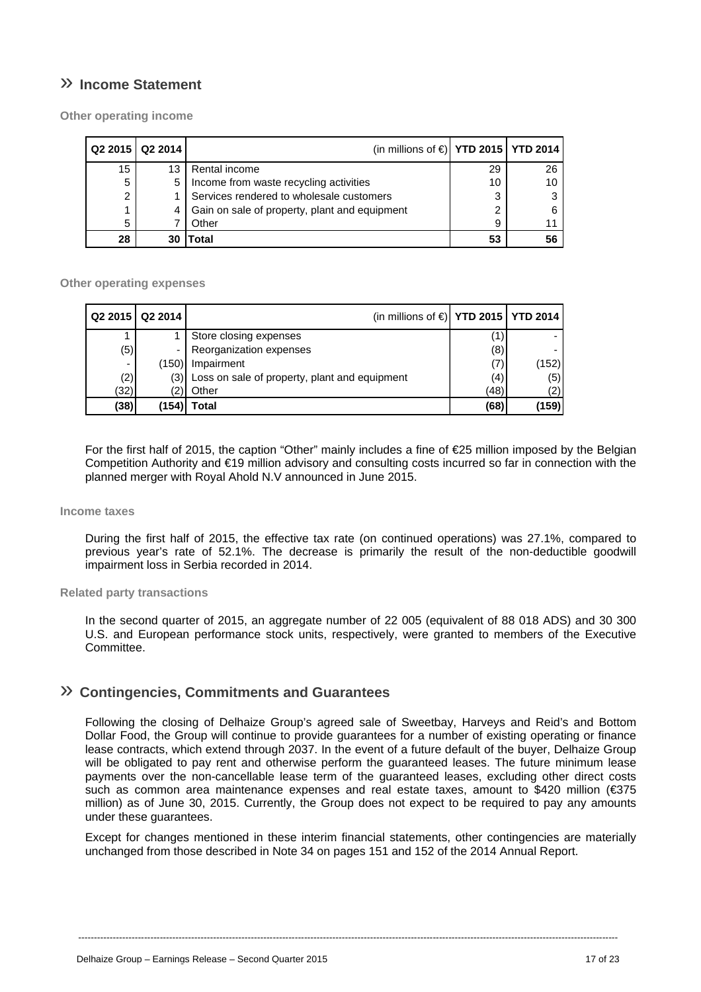# » **Income Statement**

**Other operating income** 

|    | Q2 2015   Q2 2014 | (in millions of $\in$ ) YTD 2015   YTD 2014   |    |    |
|----|-------------------|-----------------------------------------------|----|----|
| 15 | 13                | Rental income                                 | 29 | 26 |
| 5  | 5                 | Income from waste recycling activities        | 10 | 10 |
| 2  |                   | Services rendered to wholesale customers      | 3  | 3  |
|    | 4                 | Gain on sale of property, plant and equipment | ◠  | 6  |
| 5  |                   | Other                                         | 9  |    |
| 28 | 30                | Total                                         | 53 | 56 |

#### **Other operating expenses**

|      | Q2 2015   Q2 2014 | (in millions of $\in$ ) YTD 2015   YTD 2014       |      |       |
|------|-------------------|---------------------------------------------------|------|-------|
|      |                   | Store closing expenses                            |      |       |
| (5)  | -                 | Reorganization expenses                           | (8)  |       |
| -    | (150)             | Impairment                                        | (7)  | (152) |
| (2)  |                   | (3) Loss on sale of property, plant and equipment | (4)  | (5)   |
| (32) | 2)                | Other                                             | (48) | (2)   |
| (38) | (154)             | Total                                             | (68) | (159) |

For the first half of 2015, the caption "Other" mainly includes a fine of €25 million imposed by the Belgian Competition Authority and €19 million advisory and consulting costs incurred so far in connection with the planned merger with Royal Ahold N.V announced in June 2015.

#### **Income taxes**

During the first half of 2015, the effective tax rate (on continued operations) was 27.1%, compared to previous year's rate of 52.1%. The decrease is primarily the result of the non-deductible goodwill impairment loss in Serbia recorded in 2014.

#### **Related party transactions**

In the second quarter of 2015, an aggregate number of 22 005 (equivalent of 88 018 ADS) and 30 300 U.S. and European performance stock units, respectively, were granted to members of the Executive Committee.

### » **Contingencies, Commitments and Guarantees**

Following the closing of Delhaize Group's agreed sale of Sweetbay, Harveys and Reid's and Bottom Dollar Food, the Group will continue to provide guarantees for a number of existing operating or finance lease contracts, which extend through 2037. In the event of a future default of the buyer, Delhaize Group will be obligated to pay rent and otherwise perform the guaranteed leases. The future minimum lease payments over the non-cancellable lease term of the guaranteed leases, excluding other direct costs such as common area maintenance expenses and real estate taxes, amount to \$420 million ( $\epsilon$ 375 million) as of June 30, 2015. Currently, the Group does not expect to be required to pay any amounts under these guarantees.

Except for changes mentioned in these interim financial statements, other contingencies are materially unchanged from those described in Note 34 on pages 151 and 152 of the 2014 Annual Report.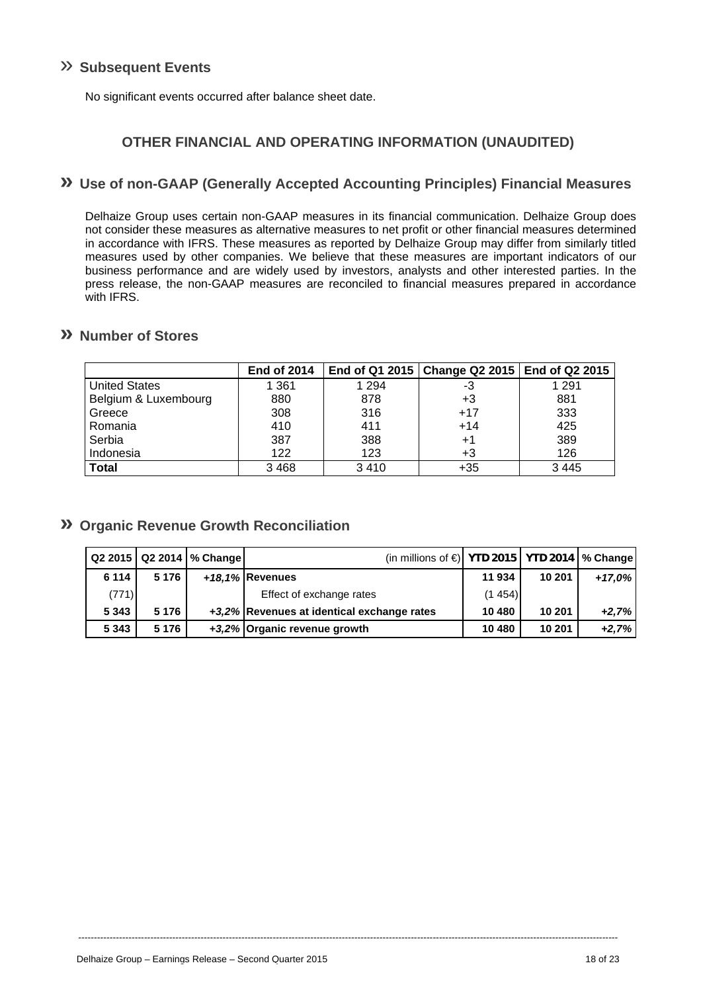# » **Subsequent Events**

No significant events occurred after balance sheet date.

# **OTHER FINANCIAL AND OPERATING INFORMATION (UNAUDITED)**

### **» Use of non-GAAP (Generally Accepted Accounting Principles) Financial Measures**

Delhaize Group uses certain non-GAAP measures in its financial communication. Delhaize Group does not consider these measures as alternative measures to net profit or other financial measures determined in accordance with IFRS. These measures as reported by Delhaize Group may differ from similarly titled measures used by other companies. We believe that these measures are important indicators of our business performance and are widely used by investors, analysts and other interested parties. In the press release, the non-GAAP measures are reconciled to financial measures prepared in accordance with IFRS.

### **» Number of Stores**

|                      | <b>End of 2014</b> |         | End of Q1 2015   Change Q2 2015   End of Q2 2015 |         |
|----------------------|--------------------|---------|--------------------------------------------------|---------|
| <b>United States</b> | 1 361              | 1 2 9 4 | -3                                               | 1 2 9 1 |
| Belgium & Luxembourg | 880                | 878     | +3                                               | 881     |
| Greece               | 308                | 316     | $+17$                                            | 333     |
| Romania              | 410                | 411     | $+14$                                            | 425     |
| Serbia               | 387                | 388     | $+1$                                             | 389     |
| Indonesia            | 122                | 123     | +3                                               | 126     |
| <b>Total</b>         | 3 4 6 8            | 3410    | $+35$                                            | 3445    |

### **» Organic Revenue Growth Reconciliation**

|         |         | Q2 2015   Q2 2014   % Change | (in millions of $\bigcirc$ YTD 2015   YTD 2014   % Change |        |        |          |
|---------|---------|------------------------------|-----------------------------------------------------------|--------|--------|----------|
| 6 1 1 4 | 5 1 7 6 |                              | +18,1% Revenues                                           | 11 934 | 10 201 | $+17.0%$ |
| (771)   |         |                              | Effect of exchange rates                                  | (1454) |        |          |
| 5 3 4 3 | 5 1 7 6 |                              | +3.2% Revenues at identical exchange rates                | 10 480 | 10 201 | $+2.7%$  |
| 5 3 4 3 | 5 1 7 6 |                              | +3.2% Organic revenue growth                              | 10 480 | 10 201 | $+2,7%$  |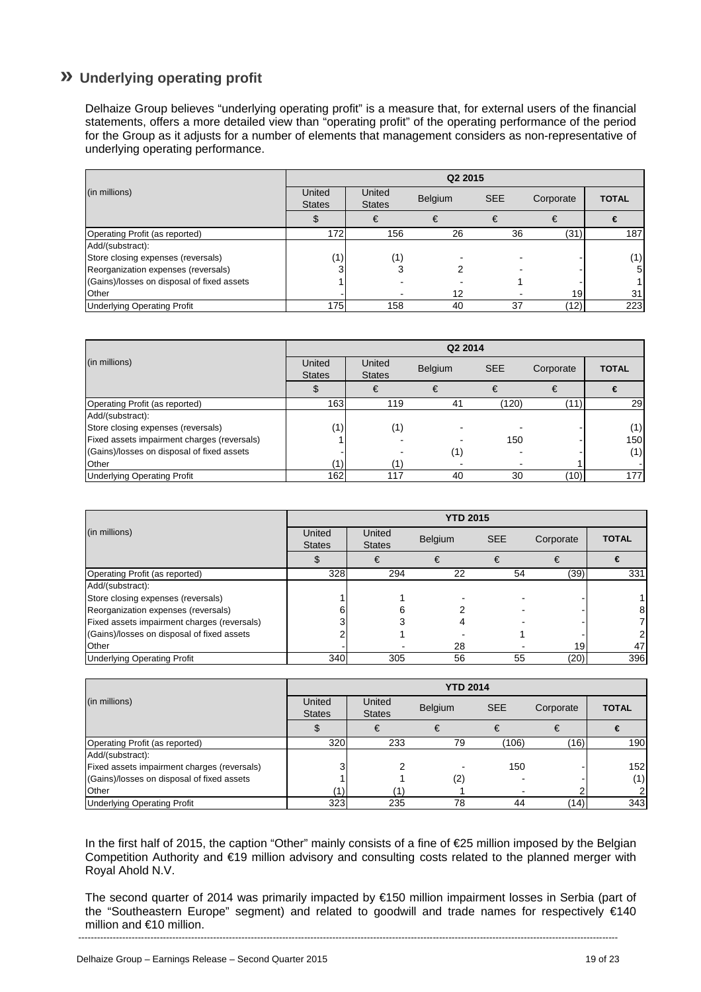# **» Underlying operating profit**

Delhaize Group believes "underlying operating profit" is a measure that, for external users of the financial statements, offers a more detailed view than "operating profit" of the operating performance of the period for the Group as it adjusts for a number of elements that management considers as non-representative of underlying operating performance.

|                                            | Q2 2015                 |                         |                |            |              |                |  |  |
|--------------------------------------------|-------------------------|-------------------------|----------------|------------|--------------|----------------|--|--|
| (in millions)                              | United<br><b>States</b> | United<br><b>States</b> | <b>Belgium</b> | <b>SEE</b> | Corporate    | <b>TOTAL</b>   |  |  |
|                                            |                         |                         |                |            | €            | €              |  |  |
| Operating Profit (as reported)             | 172                     | 156                     | 26             | 36         | (31)         | 187            |  |  |
| Add/(substract):                           |                         |                         |                |            |              |                |  |  |
| Store closing expenses (reversals)         | '1).                    |                         |                |            |              | (1)            |  |  |
| Reorganization expenses (reversals)        |                         | 3                       |                |            |              | 5 <sub>l</sub> |  |  |
| (Gains)/losses on disposal of fixed assets |                         |                         |                |            |              |                |  |  |
| <b>Other</b>                               |                         |                         | 12             |            | 19           | 31             |  |  |
| <b>Underlying Operating Profit</b>         | 175                     | 158                     | 40             | 37         | $ 12\rangle$ | 223            |  |  |

|                                             | Q2 2014                                        |                         |         |            |           |              |  |  |
|---------------------------------------------|------------------------------------------------|-------------------------|---------|------------|-----------|--------------|--|--|
| (in millions)                               | United<br><b>States</b>                        | United<br><b>States</b> | Belgium | <b>SEE</b> | Corporate | <b>TOTAL</b> |  |  |
|                                             |                                                |                         |         |            | €         | €            |  |  |
| Operating Profit (as reported)              | 163                                            | 119                     | 41      | (120)      | (11)      | 29           |  |  |
| Add/(substract):                            |                                                |                         |         |            |           |              |  |  |
| Store closing expenses (reversals)          | (1)                                            | (1)                     |         |            |           | (1)          |  |  |
| Fixed assets impairment charges (reversals) |                                                |                         |         | 150        |           | 150          |  |  |
| (Gains)/losses on disposal of fixed assets  |                                                |                         | (1)     |            |           | (1)          |  |  |
| <b>Other</b>                                | $\left( \begin{matrix} 1 \end{matrix} \right)$ |                         |         |            |           |              |  |  |
| <b>Underlying Operating Profit</b>          | 162                                            | 117                     | 40      | 30         | (10)      | 177          |  |  |

|                                             | <b>YTD 2015</b>         |                         |                |            |           |              |  |
|---------------------------------------------|-------------------------|-------------------------|----------------|------------|-----------|--------------|--|
| (in millions)                               | United<br><b>States</b> | United<br><b>States</b> | <b>Belgium</b> | <b>SEE</b> | Corporate | <b>TOTAL</b> |  |
|                                             |                         | €                       | €              |            |           |              |  |
| Operating Profit (as reported)              | 328                     | 294                     | 22             | 54         | (39)      | 331          |  |
| Add/(substract):                            |                         |                         |                |            |           |              |  |
| Store closing expenses (reversals)          |                         |                         |                |            |           |              |  |
| Reorganization expenses (reversals)         |                         | ิค                      |                |            |           |              |  |
| Fixed assets impairment charges (reversals) |                         |                         |                |            |           |              |  |
| (Gains)/losses on disposal of fixed assets  |                         |                         |                |            |           |              |  |
| Other                                       |                         |                         | 28             |            | 19        | 47           |  |
| <b>Underlying Operating Profit</b>          | 340                     | 305                     | 56             | 55         | (20)      | 396          |  |

|                                             | <b>YTD 2014</b>         |                         |         |            |           |              |  |  |
|---------------------------------------------|-------------------------|-------------------------|---------|------------|-----------|--------------|--|--|
| (in millions)                               | United<br><b>States</b> | United<br><b>States</b> | Belgium | <b>SEE</b> | Corporate | <b>TOTAL</b> |  |  |
|                                             |                         | €                       | €       |            | €         | €            |  |  |
| Operating Profit (as reported)              | 320                     | 233                     | 79      | (106)      | (16)      | 190          |  |  |
| Add/(substract):                            |                         |                         |         |            |           |              |  |  |
| Fixed assets impairment charges (reversals) |                         |                         |         | 150        |           | 152          |  |  |
| (Gains)/losses on disposal of fixed assets  |                         |                         | (2)     |            |           | (1)          |  |  |
| Other                                       |                         |                         |         |            |           |              |  |  |
| <b>Underlying Operating Profit</b>          | 323                     | 235                     | 78      | 44         | (14)      | 343          |  |  |

In the first half of 2015, the caption "Other" mainly consists of a fine of €25 million imposed by the Belgian Competition Authority and €19 million advisory and consulting costs related to the planned merger with Royal Ahold N.V.

---------------------------------------------------------------------------------------------------------------------------------------------------------------------------- The second quarter of 2014 was primarily impacted by €150 million impairment losses in Serbia (part of the "Southeastern Europe" segment) and related to goodwill and trade names for respectively €140 million and €10 million.

Delhaize Group – Earnings Release – Second Quarter 2015 19 of 23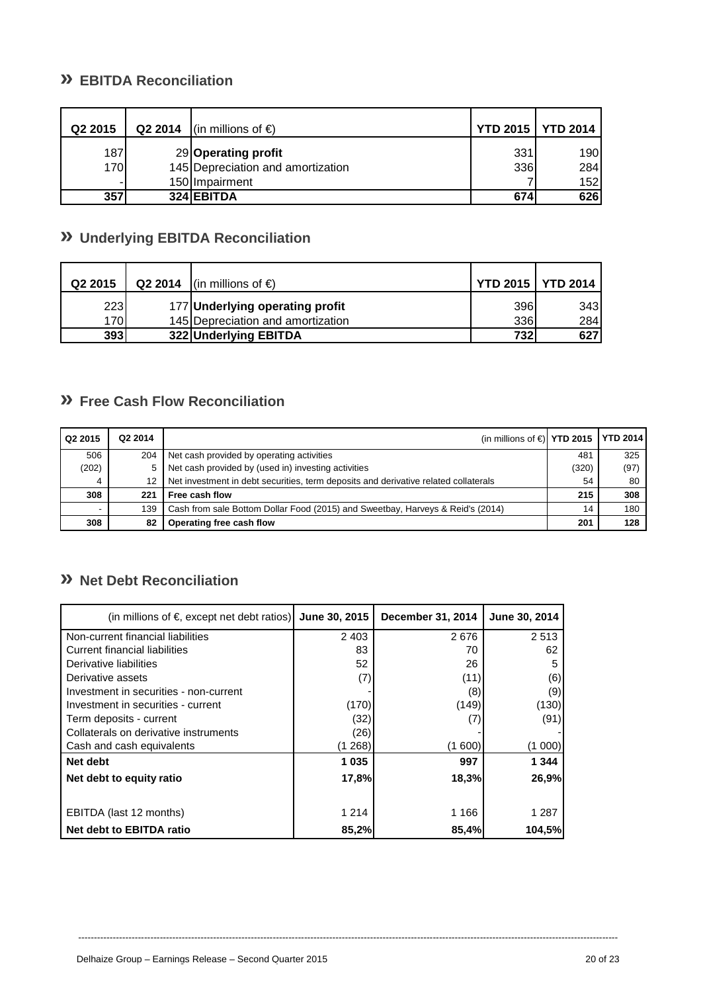# **» EBITDA Reconciliation**

| Q2 2015 | Q2 2014 | (in millions of €)                | <b>YTD 2015   YTD 2014</b> |      |
|---------|---------|-----------------------------------|----------------------------|------|
| 187     |         | 29 Operating profit               | 331                        | 190I |
| 170     |         | 145 Depreciation and amortization | 336                        | 284  |
| ۰       |         | 150 Impairment                    |                            | 152  |
| 357     |         | 324 EBITDA                        | 674                        | 626  |

# **» Underlying EBITDA Reconciliation**

| Q2 2015      | Q2 2014 | (in millions of $\epsilon$ )      | <b>YTD 2015   YTD 2014</b> |     |
|--------------|---------|-----------------------------------|----------------------------|-----|
| <b>2231</b>  |         | 177 Underlying operating profit   | 396                        | 343 |
| 170 <b>1</b> |         | 145 Depreciation and amortization | 336                        | 284 |
| 393          |         | 322 Underlying EBITDA             | 732                        | 627 |

# **» Free Cash Flow Reconciliation**

| Q2 2015 | Q2 2014 | (in millions of $\in$ ) YTD 2015   YTD 2014                                         |       |      |
|---------|---------|-------------------------------------------------------------------------------------|-------|------|
| 506     | 204     | Net cash provided by operating activities                                           | 481   | 325  |
| (202)   | 5       | Net cash provided by (used in) investing activities                                 | (320) | (97) |
| 4       |         | Net investment in debt securities, term deposits and derivative related collaterals | 54    | 80   |
| 308     | 221     | Free cash flow                                                                      | 215   | 308  |
|         | 139     | Cash from sale Bottom Dollar Food (2015) and Sweetbay, Harveys & Reid's (2014)      | 14    | 180  |
| 308     | 82      | Operating free cash flow                                                            | 201   | 128  |

# **» Net Debt Reconciliation**

| (in millions of $\epsilon$ , except net debt ratios) | June 30, 2015 | December 31, 2014 | June 30, 2014 |
|------------------------------------------------------|---------------|-------------------|---------------|
| Non-current financial liabilities                    | 2 4 0 3       | 2676              | 2513          |
| <b>Current financial liabilities</b>                 | 83            | 70                | 62            |
| Derivative liabilities                               | 52            | 26                | 5             |
| Derivative assets                                    | (7)           | (11)              | (6)           |
| Investment in securities - non-current               |               | (8)               | (9)           |
| Investment in securities - current                   | (170)         | (149)             | (130)         |
| Term deposits - current                              | (32)          |                   | (91)          |
| Collaterals on derivative instruments                | (26)          |                   |               |
| Cash and cash equivalents                            | 268)          | (1 600)           | (1 000)       |
| Net debt                                             | 1 0 3 5       | 997               | 1 344         |
| Net debt to equity ratio                             | 17,8%         | 18,3%             | 26,9%         |
| EBITDA (last 12 months)                              | 1 2 1 4       | 1 1 6 6           | 1 287         |
| Net debt to EBITDA ratio                             | 85,2%         | 85,4%             | 104,5%        |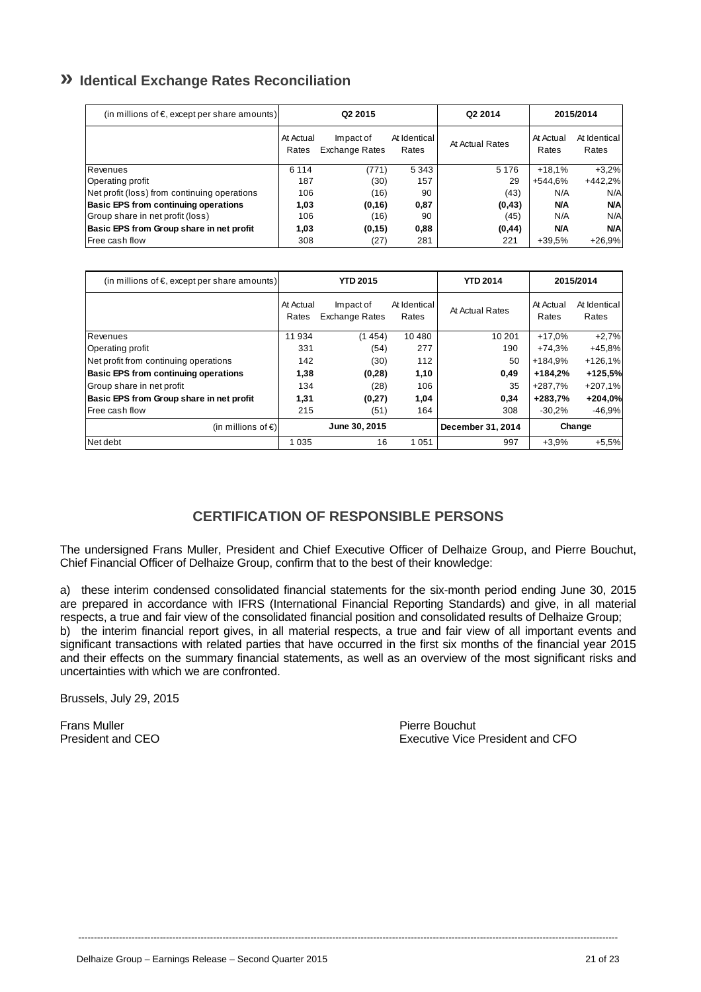# **» Identical Exchange Rates Reconciliation**

| (in millions of $\epsilon$ , except per share amounts) | Q <sub>2</sub> 2015 |                                    |                       | Q2 2014         | 2015/2014          |                       |
|--------------------------------------------------------|---------------------|------------------------------------|-----------------------|-----------------|--------------------|-----------------------|
|                                                        | At Actual<br>Rates  | Impact of<br><b>Exchange Rates</b> | At Identical<br>Rates | At Actual Rates | At Actual<br>Rates | At Identical<br>Rates |
| Revenues                                               | 6 1 1 4             | (771)                              | 5 3 4 3               | 5 1 7 6         | $+18.1%$           | $+3,2%$               |
| Operating profit                                       | 187                 | (30)                               | 157                   | 29              | +544.6%            | $+442,2%$             |
| Net profit (loss) from continuing operations           | 106                 | (16)                               | 90                    | (43)            | N/A                | N/A                   |
| <b>Basic EPS from continuing operations</b>            | 1,03                | (0, 16)                            | 0,87                  | (0, 43)         | <b>N/A</b>         | <b>N/A</b>            |
| Group share in net profit (loss)                       | 106                 | (16)                               | 90                    | (45)            | N/A                | N/A                   |
| Basic EPS from Group share in net profit               | 1.03                | (0.15)                             | 0,88                  | (0, 44)         | <b>N/A</b>         | <b>N/A</b>            |
| <b>IFree cash flow</b>                                 | 308                 | (27)                               | 281                   | 221             | $+39.5%$           | $+26.9%$              |

| (in millions of $\epsilon$ , except per share amounts) | <b>YTD 2015</b>    |                                    |                       | <b>YTD 2014</b> | 2015/2014          |                       |
|--------------------------------------------------------|--------------------|------------------------------------|-----------------------|-----------------|--------------------|-----------------------|
|                                                        | At Actual<br>Rates | Impact of<br><b>Exchange Rates</b> | At Identical<br>Rates | At Actual Rates | At Actual<br>Rates | At Identical<br>Rates |
| Revenues                                               | 11 934             | (1454)                             | 10 480                | 10 201          | $+17,0%$           | $+2,7%$               |
| Operating profit                                       | 331                | (54)                               | 277                   | 190             | $+74.3%$           | $+45,8%$              |
| Net profit from continuing operations                  | 142                | (30)                               | 112                   | 50              | +184.9%            | $+126,1%$             |
| <b>Basic EPS from continuing operations</b>            | 1,38               | (0, 28)                            | 1,10                  | 0,49            | $+184.2%$          | +125,5%               |
| Group share in net profit                              | 134                | (28)                               | 106                   | 35              | +287.7%            | $+207,1%$             |
| Basic EPS from Group share in net profit               | 1,31               | (0, 27)                            | 1,04                  | 0,34            | $+283.7%$          | +204,0%               |
| <b>IFree cash flow</b>                                 | 215                | (51)                               | 164                   | 308             | $-30.2%$           | $-46,9%$              |
| (in millions of $\epsilon$ )                           | June 30, 2015      |                                    | December 31, 2014     | Change          |                    |                       |
| Net debt                                               | 1 0 3 5            | 16                                 | 1051                  | 997             | $+3,9%$            | $+5,5%$               |

# **CERTIFICATION OF RESPONSIBLE PERSONS**

The undersigned Frans Muller, President and Chief Executive Officer of Delhaize Group, and Pierre Bouchut, Chief Financial Officer of Delhaize Group, confirm that to the best of their knowledge:

a) these interim condensed consolidated financial statements for the six-month period ending June 30, 2015 are prepared in accordance with IFRS (International Financial Reporting Standards) and give, in all material respects, a true and fair view of the consolidated financial position and consolidated results of Delhaize Group; b) the interim financial report gives, in all material respects, a true and fair view of all important events and significant transactions with related parties that have occurred in the first six months of the financial year 2015 and their effects on the summary financial statements, as well as an overview of the most significant risks and uncertainties with which we are confronted.

----------------------------------------------------------------------------------------------------------------------------------------------------------------------------

Brussels, July 29, 2015

Frans Muller<br>
Pierre Bouchut<br>
President and CEO

Executive Vice President and CFO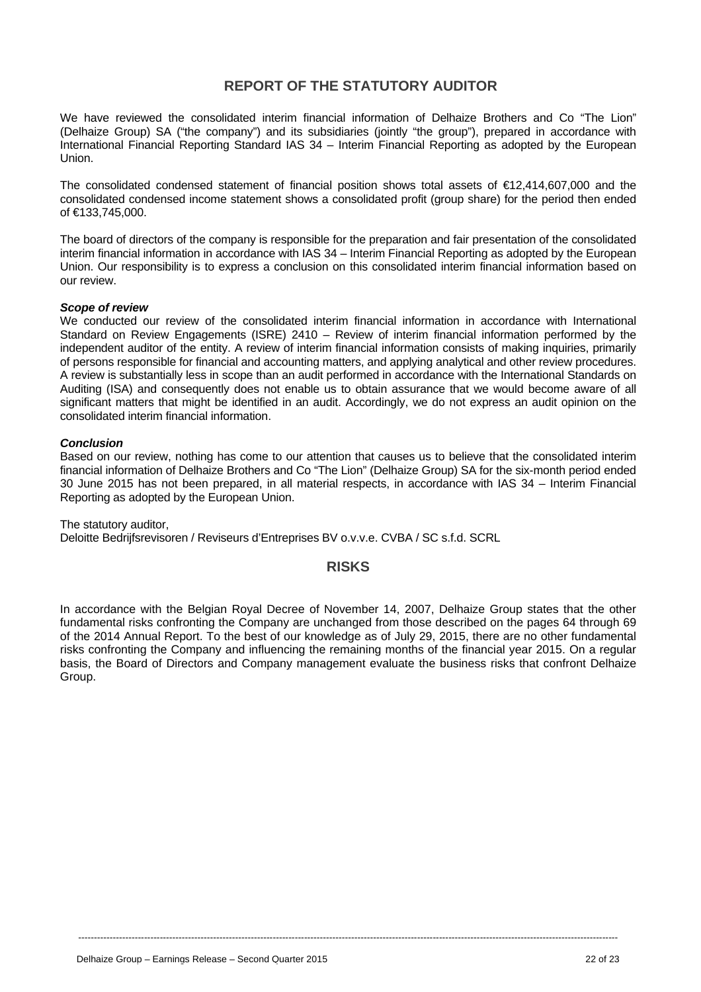# **REPORT OF THE STATUTORY AUDITOR**

We have reviewed the consolidated interim financial information of Delhaize Brothers and Co "The Lion" (Delhaize Group) SA ("the company") and its subsidiaries (jointly "the group"), prepared in accordance with International Financial Reporting Standard IAS 34 – Interim Financial Reporting as adopted by the European Union.

The consolidated condensed statement of financial position shows total assets of €12,414,607,000 and the consolidated condensed income statement shows a consolidated profit (group share) for the period then ended of €133,745,000.

The board of directors of the company is responsible for the preparation and fair presentation of the consolidated interim financial information in accordance with IAS 34 – Interim Financial Reporting as adopted by the European Union. Our responsibility is to express a conclusion on this consolidated interim financial information based on our review.

#### *Scope of review*

We conducted our review of the consolidated interim financial information in accordance with International Standard on Review Engagements (ISRE) 2410 – Review of interim financial information performed by the independent auditor of the entity. A review of interim financial information consists of making inquiries, primarily of persons responsible for financial and accounting matters, and applying analytical and other review procedures. A review is substantially less in scope than an audit performed in accordance with the International Standards on Auditing (ISA) and consequently does not enable us to obtain assurance that we would become aware of all significant matters that might be identified in an audit. Accordingly, we do not express an audit opinion on the consolidated interim financial information.

#### *Conclusion*

Based on our review, nothing has come to our attention that causes us to believe that the consolidated interim financial information of Delhaize Brothers and Co "The Lion" (Delhaize Group) SA for the six-month period ended 30 June 2015 has not been prepared, in all material respects, in accordance with IAS 34 – Interim Financial Reporting as adopted by the European Union.

The statutory auditor, Deloitte Bedrijfsrevisoren / Reviseurs d'Entreprises BV o.v.v.e. CVBA / SC s.f.d. SCRL

### **RISKS**

In accordance with the Belgian Royal Decree of November 14, 2007, Delhaize Group states that the other fundamental risks confronting the Company are unchanged from those described on the pages 64 through 69 of the 2014 Annual Report. To the best of our knowledge as of July 29, 2015, there are no other fundamental risks confronting the Company and influencing the remaining months of the financial year 2015. On a regular basis, the Board of Directors and Company management evaluate the business risks that confront Delhaize Group.